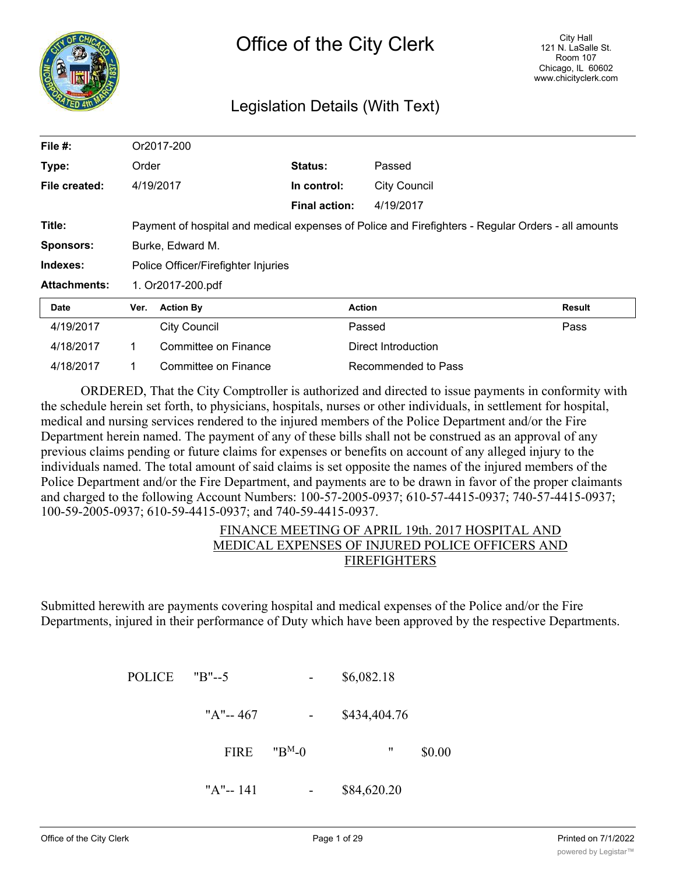

# Legislation Details (With Text)

| File #:             |           | Or2017-200                          |                      |                                                                                                    |        |
|---------------------|-----------|-------------------------------------|----------------------|----------------------------------------------------------------------------------------------------|--------|
| Type:               | Order     |                                     | <b>Status:</b>       | Passed                                                                                             |        |
| File created:       | 4/19/2017 |                                     | In control:          | <b>City Council</b>                                                                                |        |
|                     |           |                                     | <b>Final action:</b> | 4/19/2017                                                                                          |        |
| Title:              |           |                                     |                      | Payment of hospital and medical expenses of Police and Firefighters - Regular Orders - all amounts |        |
| <b>Sponsors:</b>    |           | Burke, Edward M.                    |                      |                                                                                                    |        |
| Indexes:            |           | Police Officer/Firefighter Injuries |                      |                                                                                                    |        |
| <b>Attachments:</b> |           | 1. Or2017-200.pdf                   |                      |                                                                                                    |        |
| Date                | Ver.      | <b>Action By</b>                    |                      | <b>Action</b>                                                                                      | Result |
| 4/19/2017           |           | <b>City Council</b>                 |                      | Passed                                                                                             | Pass   |
| 4/18/2017           | 1.        | Committee on Finance                |                      | Direct Introduction                                                                                |        |
| 4/18/2017           |           | Committee on Finance                |                      | Recommended to Pass                                                                                |        |

ORDERED, That the City Comptroller is authorized and directed to issue payments in conformity with the schedule herein set forth, to physicians, hospitals, nurses or other individuals, in settlement for hospital, medical and nursing services rendered to the injured members of the Police Department and/or the Fire Department herein named. The payment of any of these bills shall not be construed as an approval of any previous claims pending or future claims for expenses or benefits on account of any alleged injury to the individuals named. The total amount of said claims is set opposite the names of the injured members of the Police Department and/or the Fire Department, and payments are to be drawn in favor of the proper claimants and charged to the following Account Numbers: 100-57-2005-0937; 610-57-4415-0937; 740-57-4415-0937; 100-59-2005-0937; 610-59-4415-0937; and 740-59-4415-0937.

# FINANCE MEETING OF APRIL 19th. 2017 HOSPITAL AND MEDICAL EXPENSES OF INJURED POLICE OFFICERS AND FIREFIGHTERS

Submitted herewith are payments covering hospital and medical expenses of the Police and/or the Fire Departments, injured in their performance of Duty which have been approved by the respective Departments.

|        | \$6,082.18   | -                  | $"B" - 5$   | <b>POLICE</b> |
|--------|--------------|--------------------|-------------|---------------|
|        | \$434,404.76 |                    | "A"-- $467$ |               |
| \$0.00 | 11           | "B <sup>M</sup> -0 | <b>FIRE</b> |               |
|        | \$84,620.20  |                    | "A"-- $141$ |               |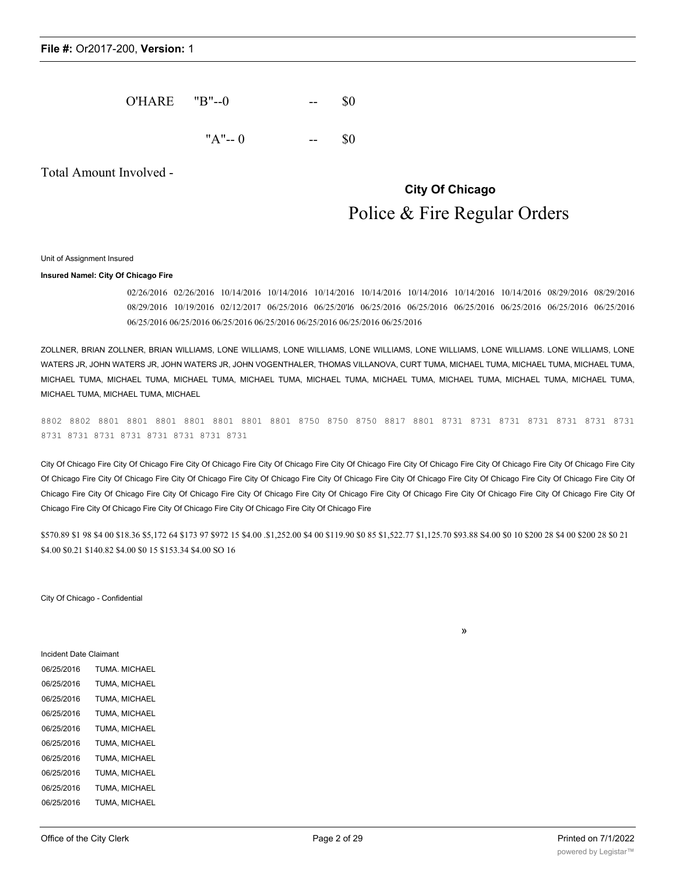| <b>O'HARE</b> | "B"--0 | -- |  |
|---------------|--------|----|--|
|---------------|--------|----|--|

 $"A"-- 0$  -- \$0

Total Amount Involved -

# **City Of Chicago** Police & Fire Regular Orders

»

#### Unit of Assignment Insured

#### **Insured Namel: City Of Chicago Fire**

02/26/2016 02/26/2016 10/14/2016 10/14/2016 10/14/2016 10/14/2016 10/14/2016 10/14/2016 10/14/2016 08/29/2016 08/29/2016 08/29/2016 10/19/2016 02/12/2017 06/25/2016 06/25/20'l6 06/25/2016 06/25/2016 06/25/2016 06/25/2016 06/25/2016 06/25/2016 06/25/2016 06/25/2016 06/25/2016 06/25/2016 06/25/2016 06/25/2016 06/25/2016

ZOLLNER, BRIAN ZOLLNER, BRIAN WILLIAMS, LONE WILLIAMS, LONE WILLIAMS, LONE WILLIAMS, LONE WILLIAMS, LONE WILLIAMS. LONE WILLIAMS, LONE WATERS JR, JOHN WATERS JR, JOHN WATERS JR, JOHN VOGENTHALER, THOMAS VILLANOVA, CURT TUMA, MICHAEL TUMA, MICHAEL TUMA, MICHAEL TUMA, MICHAEL TUMA, MICHAEL TUMA, MICHAEL TUMA, MICHAEL TUMA, MICHAEL TUMA, MICHAEL TUMA, MICHAEL TUMA, MICHAEL TUMA, MICHAEL TUMA, MICHAEL TUMA, MICHAEL TUMA, MICHAEL

8802 8802 8801 8801 8801 8801 8801 8801 8801 8750 8750 8750 8817 8801 8731 8731 8731 8731 8731 8731 8731 8731 8731 8731 8731 8731 8731 8731 8731

City Of Chicago Fire City Of Chicago Fire City Of Chicago Fire City Of Chicago Fire City Of Chicago Fire City Of Chicago Fire City Of Chicago Fire City Of Chicago Fire City Of Chicago Fire City Of Chicago Fire City Of Chicago Fire City Of Chicago Fire City Of Chicago Fire City Of Chicago Fire City Of Chicago Fire City Of Chicago Fire City Of Chicago Fire City Of Chicago Fire City Of Chicago Fire City Of Chicago Fire City Of Chicago Fire City Of Chicago Fire City Of Chicago Fire City Of Chicago Fire City Of Chicago Fire City Of Chicago Fire City Of Chicago Fire City Of Chicago Fire City Of Chicago Fire

\$570.89 \$1 98 \$4 00 \$18.36 \$5,172 64 \$173 97 \$972 15 \$4.00 .\$1,252.00 \$4 00 \$119.90 \$0 85 \$1,522.77 \$1,125.70 \$93.88 S4.00 \$0 10 \$200 28 \$4 00 \$200 28 \$0 21 \$4.00 \$0.21 \$140.82 \$4.00 \$0 15 \$153.34 \$4.00 SO 16

City Of Chicago - Confidential

Incident Date Claimant 06/25/2016 TUMA. MICHAEL 06/25/2016 TUMA, MICHAEL 06/25/2016 TUMA, MICHAEL 06/25/2016 TUMA, MICHAEL 06/25/2016 TUMA, MICHAEL 06/25/2016 TUMA, MICHAEL 06/25/2016 TUMA, MICHAEL 06/25/2016 TUMA, MICHAEL 06/25/2016 TUMA, MICHAEL 06/25/2016 TUMA, MICHAEL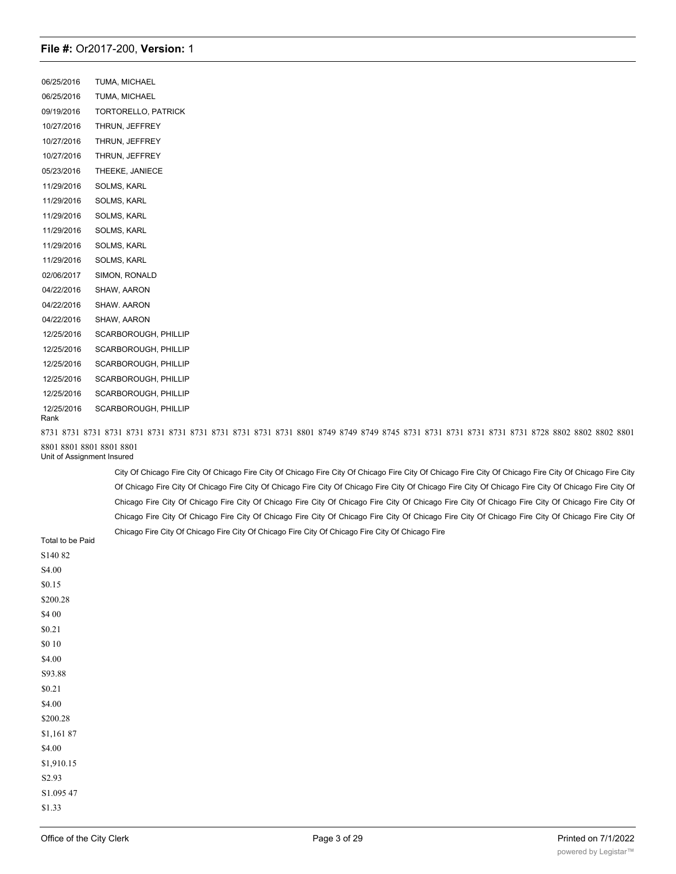06/25/2016 TUMA, MICHAEL 06/25/2016 TUMA, MICHAEL 09/19/2016 TORTORELLO, PATRICK 10/27/2016 THRUN, JEFFREY 10/27/2016 THRUN, JEFFREY 10/27/2016 THRUN, JEFFREY 05/23/2016 THEEKE, JANIECE 11/29/2016 SOLMS, KARL 11/29/2016 SOLMS, KARL 11/29/2016 SOLMS, KARL 11/29/2016 SOLMS, KARL 11/29/2016 SOLMS, KARL 11/29/2016 SOLMS, KARL 02/06/2017 SIMON, RONALD 04/22/2016 SHAW, AARON 04/22/2016 SHAW. AARON 04/22/2016 SHAW, AARON 12/25/2016 SCARBOROUGH, PHILLIP 12/25/2016 SCARBOROUGH, PHILLIP 12/25/2016 SCARBOROUGH, PHILLIP 12/25/2016 SCARBOROUGH, PHILLIP 12/25/2016 SCARBOROUGH, PHILLIP 12/25/2016 SCARBOROUGH, PHILLIP Rank

8731 8731 8731 8731 8731 8731 8731 8731 8731 8731 8731 8731 8801 8749 8749 8749 8745 8731 8731 8731 8731 8731 8731 8728 8802 8802 8802 8801 8801 8801 8801 8801 8801 Unit of Assignment Insured

City Of Chicago Fire City Of Chicago Fire City Of Chicago Fire City Of Chicago Fire City Of Chicago Fire City Of Chicago Fire City Of Chicago Fire City Of Chicago Fire City Of Chicago Fire City Of Chicago Fire City Of Chicago Fire City Of Chicago Fire City Of Chicago Fire City Of Chicago Fire City Of Chicago Fire City Of Chicago Fire City Of Chicago Fire City Of Chicago Fire City Of Chicago Fire City Of Chicago Fire City Of Chicago Fire City Of Chicago Fire City Of Chicago Fire City Of Chicago Fire City Of Chicago Fire City Of Chicago Fire City Of Chicago Fire City Of Chicago Fire City Of Chicago Fire City Of Chicago Fire City Of Chicago Fire City Of Chicago Fire City Of Chicago Fire

|                  | Criticago Fire City Of Criticago Fire City Of Criticago Fire City Of Criticago Fire City Of Criticago Fire |
|------------------|------------------------------------------------------------------------------------------------------------|
| Total to be Paid |                                                                                                            |
| S140 82          |                                                                                                            |
| S4.00            |                                                                                                            |
| \$0.15           |                                                                                                            |
| \$200.28         |                                                                                                            |
| \$4 00           |                                                                                                            |
| \$0.21           |                                                                                                            |
| $$0\;10$         |                                                                                                            |
| \$4.00           |                                                                                                            |
| S93.88           |                                                                                                            |
| \$0.21           |                                                                                                            |
| \$4.00           |                                                                                                            |
| \$200.28         |                                                                                                            |
| \$1,161 87       |                                                                                                            |
| \$4.00           |                                                                                                            |
| \$1,910.15       |                                                                                                            |
| S2.93            |                                                                                                            |
| S1.095 47        |                                                                                                            |
| \$1.33           |                                                                                                            |
|                  |                                                                                                            |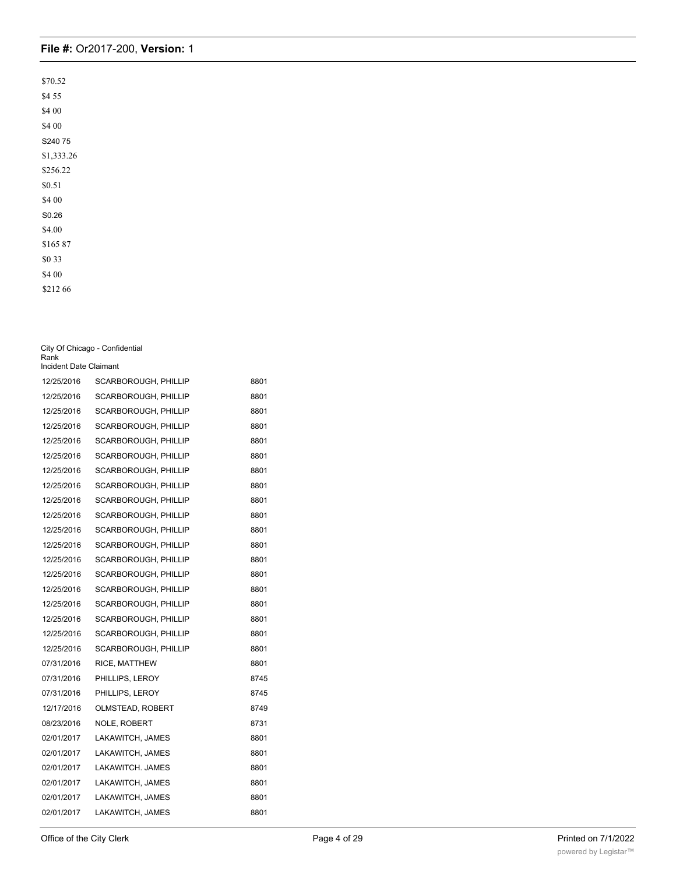| \$70.52    |
|------------|
| \$4 55     |
| \$4 00     |
| \$4 00     |
| S24075     |
| \$1,333.26 |
| \$256.22   |
| \$0.51     |
| \$4 00     |
| S0.26      |
| \$4.00     |
| \$16587    |
| \$0 33     |
| \$4 00     |
| \$212 66   |

| City Of Chicago - Confidential |
|--------------------------------|
| Rank                           |
| Incident Date Claimant         |

| 12/25/2016 | SCARBOROUGH, PHILLIP | 8801 |
|------------|----------------------|------|
| 12/25/2016 | SCARBOROUGH, PHILLIP | 8801 |
| 12/25/2016 | SCARBOROUGH, PHILLIP | 8801 |
| 12/25/2016 | SCARBOROUGH, PHILLIP | 8801 |
| 12/25/2016 | SCARBOROUGH, PHILLIP | 8801 |
| 12/25/2016 | SCARBOROUGH, PHILLIP | 8801 |
| 12/25/2016 | SCARBOROUGH, PHILLIP | 8801 |
| 12/25/2016 | SCARBOROUGH, PHILLIP | 8801 |
| 12/25/2016 | SCARBOROUGH, PHILLIP | 8801 |
| 12/25/2016 | SCARBOROUGH, PHILLIP | 8801 |
| 12/25/2016 | SCARBOROUGH, PHILLIP | 8801 |
| 12/25/2016 | SCARBOROUGH, PHILLIP | 8801 |
| 12/25/2016 | SCARBOROUGH, PHILLIP | 8801 |
| 12/25/2016 | SCARBOROUGH, PHILLIP | 8801 |
| 12/25/2016 | SCARBOROUGH, PHILLIP | 8801 |
| 12/25/2016 | SCARBOROUGH, PHILLIP | 8801 |
| 12/25/2016 | SCARBOROUGH, PHILLIP | 8801 |
| 12/25/2016 | SCARBOROUGH, PHILLIP | 8801 |
| 12/25/2016 | SCARBOROUGH, PHILLIP | 8801 |
| 07/31/2016 | RICE, MATTHEW        | 8801 |
| 07/31/2016 | PHILLIPS, LEROY      | 8745 |
| 07/31/2016 | PHILLIPS, LEROY      | 8745 |
| 12/17/2016 | OLMSTEAD, ROBERT     | 8749 |
| 08/23/2016 | NOLE, ROBERT         | 8731 |
| 02/01/2017 | LAKAWITCH, JAMES     | 8801 |
| 02/01/2017 | LAKAWITCH, JAMES     | 8801 |
| 02/01/2017 | LAKAWITCH, JAMES     | 8801 |
| 02/01/2017 | LAKAWITCH, JAMES     | 8801 |
| 02/01/2017 | LAKAWITCH, JAMES     | 8801 |
| 02/01/2017 | LAKAWITCH, JAMES     | 8801 |

02/01/2017 LAKAWITCH, JAMES 8801, JAMES 8801, JAMES 8801, JAMES 8801, JAMES 8801, JAMES 8801, JAMES 8801, JAMES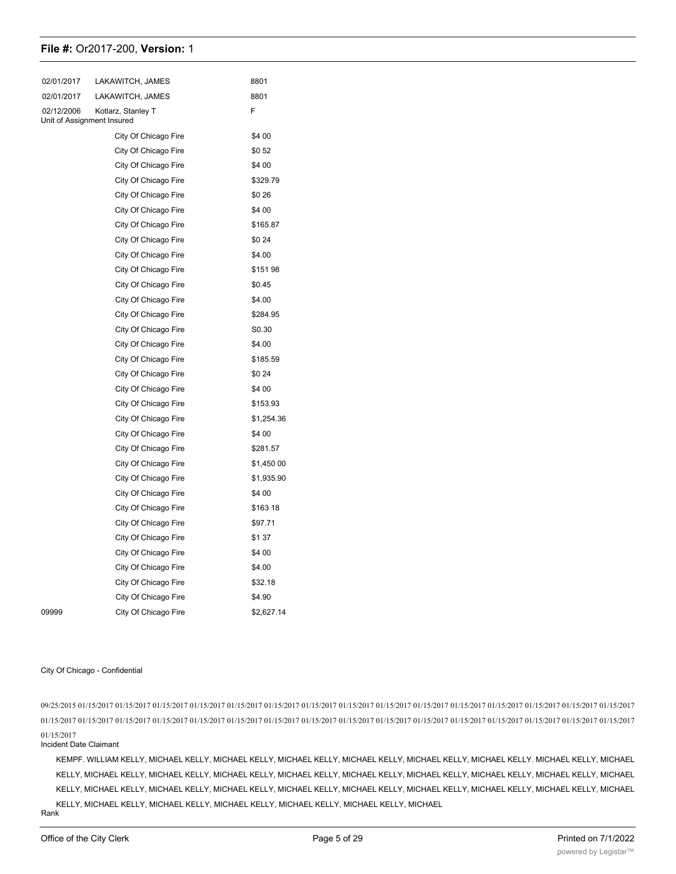| 02/01/2017 | LAKAWITCH, JAMES                                 | 8801       |
|------------|--------------------------------------------------|------------|
| 02/01/2017 | LAKAWITCH, JAMES                                 | 8801       |
| 02/12/2006 | Kotlarz, Stanley T<br>Unit of Assignment Insured | F          |
|            | City Of Chicago Fire                             | \$4 00     |
|            | City Of Chicago Fire                             | \$052      |
|            | City Of Chicago Fire                             | \$4 00     |
|            | City Of Chicago Fire                             | \$329.79   |
|            | City Of Chicago Fire                             | \$0 26     |
|            | City Of Chicago Fire                             | \$4 00     |
|            | City Of Chicago Fire                             | \$165.87   |
|            | City Of Chicago Fire                             | \$0 24     |
|            | City Of Chicago Fire                             | \$4.00     |
|            | City Of Chicago Fire                             | \$15198    |
|            | City Of Chicago Fire                             | \$0.45     |
|            | City Of Chicago Fire                             | \$4.00     |
|            | City Of Chicago Fire                             | \$284.95   |
|            | City Of Chicago Fire                             | S0.30      |
|            | City Of Chicago Fire                             | \$4.00     |
|            | City Of Chicago Fire                             | \$185.59   |
|            | City Of Chicago Fire                             | \$0 24     |
|            | City Of Chicago Fire                             | \$4 00     |
|            | City Of Chicago Fire                             | \$153.93   |
|            | City Of Chicago Fire                             | \$1,254.36 |
|            | City Of Chicago Fire                             | \$4 00     |
|            | City Of Chicago Fire                             | \$281.57   |
|            | City Of Chicago Fire                             | \$1,450 00 |
|            | City Of Chicago Fire                             | \$1,935.90 |
|            | City Of Chicago Fire                             | \$4 00     |
|            | City Of Chicago Fire                             | \$163 18   |
|            | City Of Chicago Fire                             | \$97.71    |
|            | City Of Chicago Fire                             | \$137      |
|            | City Of Chicago Fire                             | \$4 00     |
|            | City Of Chicago Fire                             | \$4.00     |
|            | City Of Chicago Fire                             | \$32.18    |
|            | City Of Chicago Fire                             | \$4.90     |
| 09999      | City Of Chicago Fire                             | \$2,627.14 |

#### City Of Chicago - Confidential

09/25/2015 01/15/2017 01/15/2017 01/15/2017 01/15/2017 01/15/2017 01/15/2017 01/15/2017 01/15/2017 01/15/2017 01/15/2017 01/15/2017 01/15/2017 01/15/2017 01/15/2017 01/15/2017 01/15/2017 01/15/2017 01/15/2017 01/15/2017 01/15/2017 01/15/2017 01/15/2017 01/15/2017 01/15/2017 01/15/2017 01/15/2017 01/15/2017 01/15/2017 01/15/2017 01/15/2017 01/15/2017

#### 01/15/2017 Incident Date Claimant

KEMPF. WILLIAM KELLY, MICHAEL KELLY, MICHAEL KELLY, MICHAEL KELLY, MICHAEL KELLY, MICHAEL KELLY, MICHAEL KELLY. MICHAEL KELLY, MICHAEL KELLY, MICHAEL KELLY, MICHAEL KELLY, MICHAEL KELLY, MICHAEL KELLY, MICHAEL KELLY, MICHAEL KELLY, MICHAEL KELLY, MICHAEL KELLY, MICHAEL KELLY, MICHAEL KELLY, MICHAEL KELLY, MICHAEL KELLY, MICHAEL KELLY, MICHAEL KELLY, MICHAEL KELLY, MICHAEL KELLY, MICHAEL KELLY, MICHAEL KELLY, MICHAEL KELLY, MICHAEL KELLY, MICHAEL KELLY, MICHAEL KELLY, MICHAEL KELLY, MICHAEL

Rank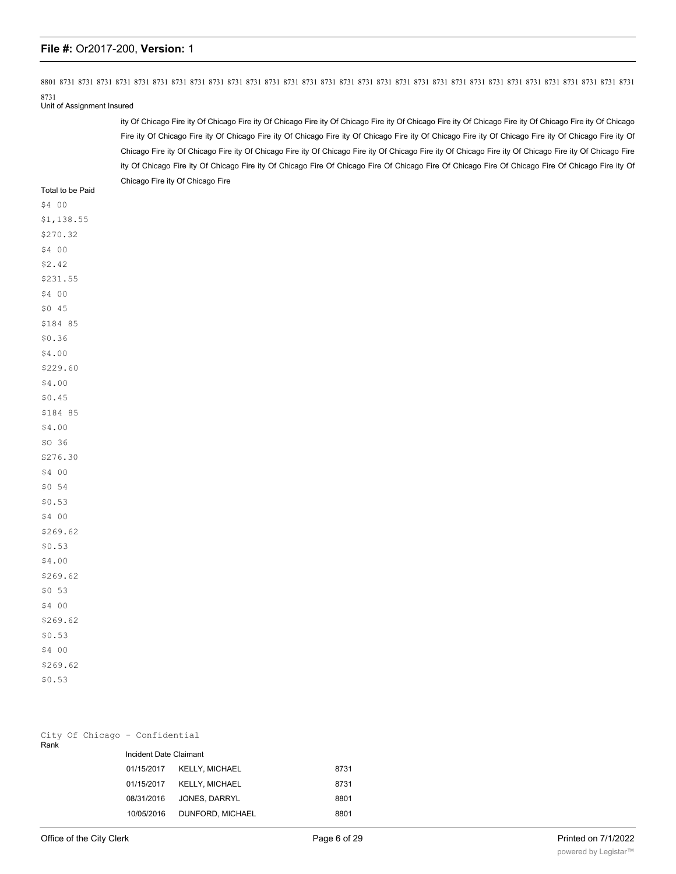8801 8731 8731 8731 8731 8731 8731 8731 8731 8731 8731 8731 8731 8731 8731 8731 8731 8731 8731 8731 8731 8731 8731 8731 8731 8731 8731 8731 8731 8731 8731 8731

8731 Unit of Assignment Insured

> ity Of Chicago Fire ity Of Chicago Fire ity Of Chicago Fire ity Of Chicago Fire ity Of Chicago Fire ity Of Chicago Fire ity Of Chicago Fire ity Of Chicago Fire ity Of Chicago Fire ity Of Chicago Fire ity Of Chicago Fire ity Of Chicago Fire ity Of Chicago Fire ity Of Chicago Fire ity Of Chicago Fire ity Of Chicago Fire ity Of Chicago Fire ity Of Chicago Fire ity Of Chicago Fire ity Of Chicago Fire ity Of Chicago Fire ity Of Chicago Fire ity Of Chicago Fire ity Of Chicago Fire ity Of Chicago Fire Of Chicago Fire Of Chicago Fire Of Chicago Fire Of Chicago Fire Of Chicago Fire ity Of Chicago Fire ity Of Chicago Fire

Total to be Paid \$4 00 \$1,138.55 \$270.32 \$4 00 \$2.42 \$231.55 \$4 00 \$0 45 \$184 85 \$0.36 \$4.00 \$229.60 \$4.00 \$0.45 \$184 85 \$4.00 SO 36 S276.30 \$4 00 \$0 54 \$0.53 \$4 00 \$269.62 \$0.53 \$4.00 \$269.62 \$0 53 \$4 00 \$269.62 \$0.53 \$4 00 \$269.62 \$0.53

| Rank |  | City Of Chicago - Confidential |                           |      |
|------|--|--------------------------------|---------------------------|------|
|      |  | Incident Date Claimant         |                           |      |
|      |  |                                | 01/15/2017 KELLY, MICHAEL | 8731 |
|      |  |                                | 01/15/2017 KELLY, MICHAEL | 8731 |
|      |  | 08/31/2016                     | JONES, DARRYL             | 8801 |
|      |  | 10/05/2016                     | DUNFORD, MICHAEL          | 8801 |
|      |  |                                |                           |      |

10/05/2016 DUNFORD, MICHAEL 88016 DUNFORD, MICHAEL 88016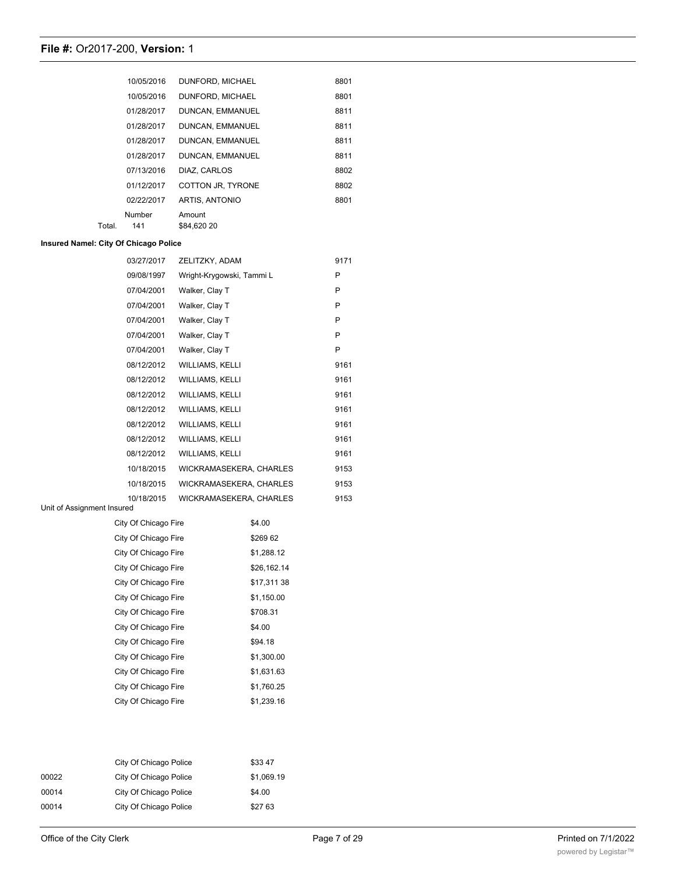|        | 10/05/2016 | DUNFORD, MICHAEL  | 8801 |
|--------|------------|-------------------|------|
|        | 10/05/2016 | DUNFORD, MICHAEL  | 8801 |
|        | 01/28/2017 | DUNCAN, EMMANUEL  | 8811 |
|        | 01/28/2017 | DUNCAN, EMMANUEL  | 8811 |
|        | 01/28/2017 | DUNCAN, EMMANUEL  | 8811 |
|        | 01/28/2017 | DUNCAN, EMMANUEL  | 8811 |
|        | 07/13/2016 | DIAZ. CARLOS      | 8802 |
|        | 01/12/2017 | COTTON JR, TYRONE | 8802 |
|        | 02/22/2017 | ARTIS, ANTONIO    | 8801 |
|        | Number     | Amount            |      |
| Total. | 141        | \$84.620 20       |      |

### **Insured Namel: City Of Chicago Police**

| 03/27/2017 | ZELITZKY, ADAM            | 9171 |
|------------|---------------------------|------|
| 09/08/1997 | Wright-Krygowski, Tammi L | P    |
| 07/04/2001 | Walker, Clay T            | P    |
| 07/04/2001 | Walker, Clay T            | P    |
| 07/04/2001 | Walker, Clay T            | P    |
| 07/04/2001 | Walker, Clay T            | P    |
| 07/04/2001 | Walker, Clay T            | P    |
| 08/12/2012 | <b>WILLIAMS, KELLI</b>    | 9161 |
| 08/12/2012 | <b>WILLIAMS, KELLI</b>    | 9161 |
| 08/12/2012 | <b>WILLIAMS, KELLI</b>    | 9161 |
| 08/12/2012 | <b>WILLIAMS, KELLI</b>    | 9161 |
| 08/12/2012 | <b>WILLIAMS, KELLI</b>    | 9161 |
| 08/12/2012 | <b>WILLIAMS, KELLI</b>    | 9161 |
| 08/12/2012 | <b>WILLIAMS, KELLI</b>    | 9161 |
| 10/18/2015 | WICKRAMASEKERA, CHARLES   | 9153 |
| 10/18/2015 | WICKRAMASEKERA, CHARLES   | 9153 |
| 10/18/2015 | WICKRAMASEKERA, CHARLES   | 9153 |

### Unit of Assignment Insured

| City Of Chicago Fire | \$4.00      |
|----------------------|-------------|
| City Of Chicago Fire | \$26962     |
| City Of Chicago Fire | \$1.288.12  |
| City Of Chicago Fire | \$26,162.14 |
| City Of Chicago Fire | \$17,311 38 |
| City Of Chicago Fire | \$1.150.00  |
| City Of Chicago Fire | \$708.31    |
| City Of Chicago Fire | \$4.00      |
| City Of Chicago Fire | \$94.18     |
| City Of Chicago Fire | \$1,300.00  |
| City Of Chicago Fire | \$1,631.63  |
| City Of Chicago Fire | \$1,760.25  |
| City Of Chicago Fire | \$1,239.16  |

|       | City Of Chicago Police | \$3347     |
|-------|------------------------|------------|
| 00022 | City Of Chicago Police | \$1,069.19 |
| 00014 | City Of Chicago Police | \$4.00     |
| 00014 | City Of Chicago Police | \$27 63    |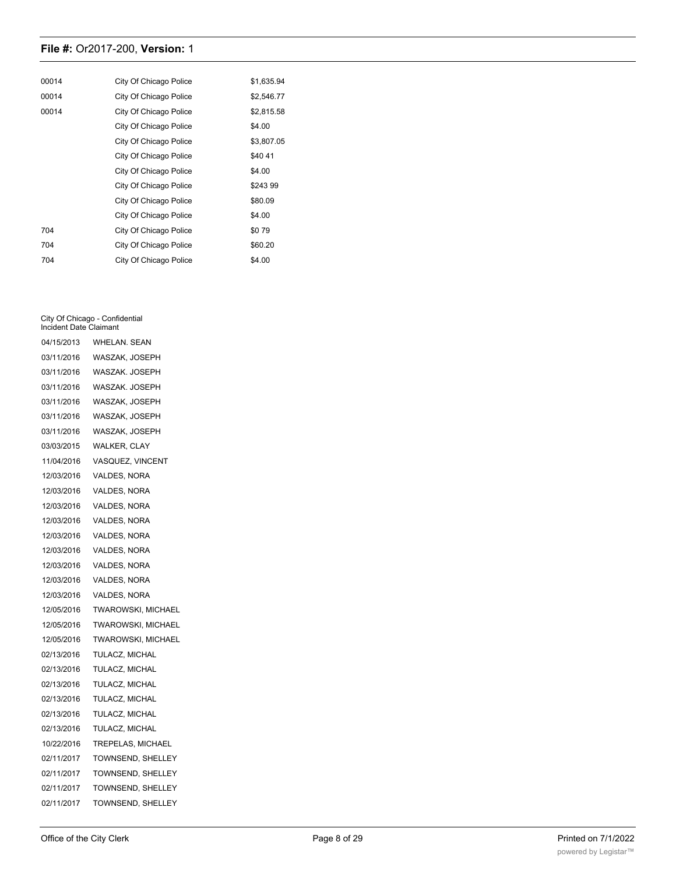| 00014 | City Of Chicago Police | \$1,635.94 |
|-------|------------------------|------------|
| 00014 | City Of Chicago Police | \$2,546.77 |
| 00014 | City Of Chicago Police | \$2,815.58 |
|       | City Of Chicago Police | \$4.00     |
|       | City Of Chicago Police | \$3,807.05 |
|       | City Of Chicago Police | \$4041     |
|       | City Of Chicago Police | \$4.00     |
|       | City Of Chicago Police | \$24399    |
|       | City Of Chicago Police | \$80.09    |
|       | City Of Chicago Police | \$4.00     |
| 704   | City Of Chicago Police | \$079      |
| 704   | City Of Chicago Police | \$60.20    |
| 704   | City Of Chicago Police | \$4.00     |

#### City Of Chicago - Confidential Incident Date Claimant

| 04/15/2013 | <b>WHELAN. SEAN</b>       |
|------------|---------------------------|
| 03/11/2016 | WASZAK, JOSEPH            |
| 03/11/2016 | WASZAK. JOSEPH            |
| 03/11/2016 | WASZAK. JOSEPH            |
| 03/11/2016 | WASZAK, JOSEPH            |
| 03/11/2016 | WASZAK, JOSEPH            |
| 03/11/2016 | WASZAK, JOSEPH            |
| 03/03/2015 | WALKER, CLAY              |
| 11/04/2016 | VASQUEZ, VINCENT          |
| 12/03/2016 | VALDES, NORA              |
| 12/03/2016 | VALDES, NORA              |
| 12/03/2016 | VALDES, NORA              |
| 12/03/2016 | VALDES, NORA              |
| 12/03/2016 | VALDES, NORA              |
| 12/03/2016 | VALDES, NORA              |
| 12/03/2016 | VALDES, NORA              |
| 12/03/2016 | VALDES, NORA              |
| 12/03/2016 | VALDES, NORA              |
| 12/05/2016 | TWAROWSKI, MICHAEL        |
| 12/05/2016 | <b>TWAROWSKI, MICHAEL</b> |
| 12/05/2016 | TWAROWSKI, MICHAEL        |
| 02/13/2016 | TULACZ, MICHAL            |
| 02/13/2016 | TULACZ, MICHAL            |
| 02/13/2016 | TULACZ, MICHAL            |
| 02/13/2016 | TULACZ, MICHAL            |
| 02/13/2016 | TULACZ, MICHAL            |
| 02/13/2016 | TULACZ, MICHAL            |
| 10/22/2016 | TREPELAS, MICHAEL         |
| 02/11/2017 | TOWNSEND, SHELLEY         |
| 02/11/2017 | <b>TOWNSEND, SHELLEY</b>  |
| 02/11/2017 | TOWNSEND, SHELLEY         |
| 02/11/2017 | TOWNSEND, SHELLEY         |
|            |                           |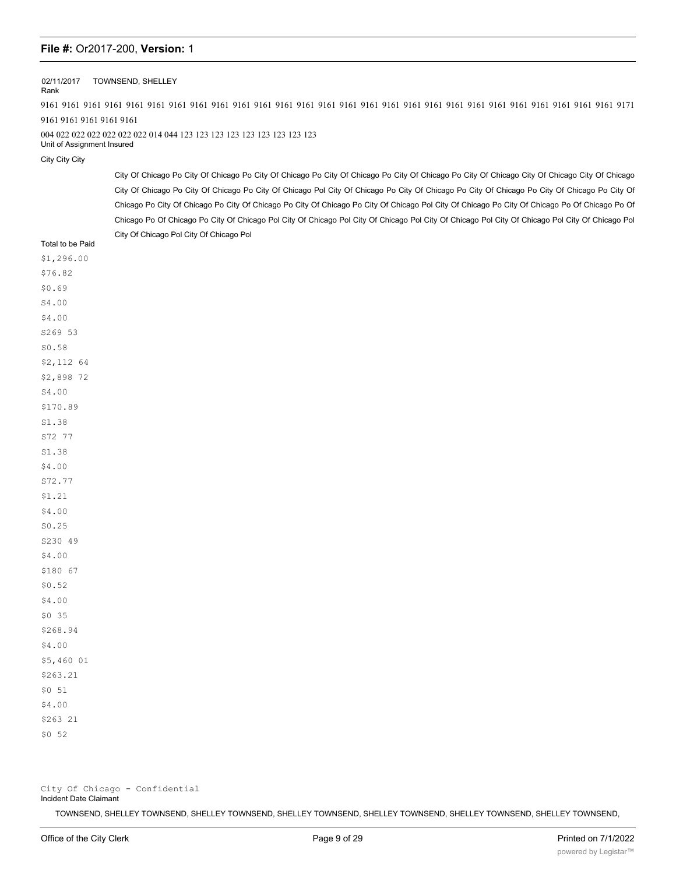### 02/11/2017 TOWNSEND, SHELLEY

Rank

9161 9161 9161 9161 9161 9161 9161 9161 9161 9161 9161 9161 9161 9161 9161 9161 9161 9161 9161 9161 9161 9161 9161 9161 9161 9161 9161 9171 9161 9161 9161 9161 9161

### 004 022 022 022 022 022 022 014 044 123 123 123 123 123 123 123 123 123

Unit of Assignment Insured

City City City

City Of Chicago Po City Of Chicago Po City Of Chicago Po City Of Chicago Po City Of Chicago Po City Of Chicago City Of Chicago City Of Chicago City Of Chicago Po City Of Chicago Po City Of Chicago Pol City Of Chicago Po City Of Chicago Po City Of Chicago Po City Of Chicago Po City Of Chicago Po City Of Chicago Po City Of Chicago Po City Of Chicago Po City Of Chicago Pol City Of Chicago Po City Of Chicago Po Of Chicago Po Of Chicago Po Of Chicago Po City Of Chicago Pol City Of Chicago Pol City Of Chicago Pol City Of Chicago Pol City Of Chicago Pol City Of Chicago Pol City Of Chicago Pol City Of Chicago Pol

| Total to be Paid |
|------------------|
| \$1,296.00       |
| \$76.82          |
| \$0.69           |
| S4.00            |
| \$4.00           |
| S269 53          |
| SO.58            |
| \$2,112 64       |
| \$2,898 72       |
| S4.00            |
| \$170.89         |
| S1.38            |
| S72 77           |
| S1.38            |
| \$4.00           |
| S72.77           |
| \$1.21           |
| \$4.00           |
| SO.25            |
| S230 49          |
| \$4.00           |
| \$180 67         |
| \$0.52           |
| \$4.00           |
| $$0$ 35          |
| \$268.94         |
| \$4.00           |
| \$5,460 01       |
| \$263.21         |
| \$051            |
| \$4.00           |
| \$263 21         |
| \$052            |

City Of Chicago - Confidential Incident Date Claimant

TOWNSEND, SHELLEY TOWNSEND, SHELLEY TOWNSEND, SHELLEY TOWNSEND, SHELLEY TOWNSEND, SHELLEY TOWNSEND, SHELLEY TOWNSEND,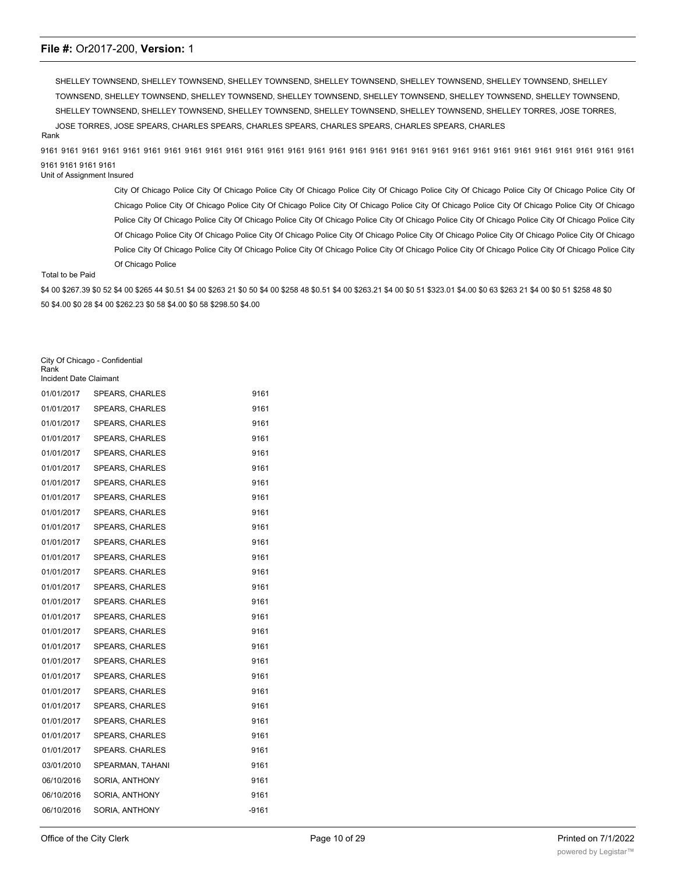SHELLEY TOWNSEND, SHELLEY TOWNSEND, SHELLEY TOWNSEND, SHELLEY TOWNSEND, SHELLEY TOWNSEND, SHELLEY TOWNSEND, SHELLEY TOWNSEND, SHELLEY TOWNSEND, SHELLEY TOWNSEND, SHELLEY TOWNSEND, SHELLEY TOWNSEND, SHELLEY TOWNSEND, SHELLEY TOWNSEND, SHELLEY TOWNSEND, SHELLEY TOWNSEND, SHELLEY TOWNSEND, SHELLEY TOWNSEND, SHELLEY TOWNSEND, SHELLEY TORRES, JOSE TORRES, JOSE TORRES, JOSE SPEARS, CHARLES SPEARS, CHARLES SPEARS, CHARLES SPEARS, CHARLES SPEARS, CHARLES

Rank

9161 9161 9161 9161 9161 9161 9161 9161 9161 9161 9161 9161 9161 9161 9161 9161 9161 9161 9161 9161 9161 9161 9161 9161 9161 9161 9161 9161 9161 9161 9161 9161 9161

### Unit of Assignment Insured

City Of Chicago Police City Of Chicago Police City Of Chicago Police City Of Chicago Police City Of Chicago Police City Of Chicago Police City Of Chicago Police City Of Chicago Police City Of Chicago Police City Of Chicago Police City Of Chicago Police City Of Chicago Police City Of Chicago Police City Of Chicago Police City Of Chicago Police City Of Chicago Police City Of Chicago Police City Of Chicago Police City Of Chicago Police City Of Chicago Police City Of Chicago Police City Of Chicago Police City Of Chicago Police City Of Chicago Police City Of Chicago Police City Of Chicago Police City Of Chicago Police City Of Chicago Police City Of Chicago Police City Of Chicago Police City Of Chicago Police City Of Chicago Police City Of Chicago Police

### Total to be Paid

\$4 00 \$267.39 \$0 52 \$4 00 \$265 44 \$0.51 \$4 00 \$263 21 \$0 50 \$4 00 \$258 48 \$0.51 \$4 00 \$263.21 \$4 00 \$0 51 \$323.01 \$4.00 \$0 63 \$263 21 \$4 00 \$0 51 \$258 48 \$0 50 \$4.00 \$0 28 \$4 00 \$262.23 \$0 58 \$4.00 \$0 58 \$298.50 \$4.00

City Of Chicago - Confidential

Rank Incident Date Claimant

| <b>INVIDENT DATE ORINIANI</b> |                        |         |  |
|-------------------------------|------------------------|---------|--|
| 01/01/2017                    | <b>SPEARS, CHARLES</b> | 9161    |  |
| 01/01/2017                    | SPEARS, CHARLES        | 9161    |  |
| 01/01/2017                    | <b>SPEARS, CHARLES</b> | 9161    |  |
| 01/01/2017                    | SPEARS, CHARLES        | 9161    |  |
| 01/01/2017                    | <b>SPEARS, CHARLES</b> | 9161    |  |
| 01/01/2017                    | SPEARS, CHARLES        | 9161    |  |
| 01/01/2017                    | SPEARS, CHARLES        | 9161    |  |
| 01/01/2017                    | SPEARS, CHARLES        | 9161    |  |
| 01/01/2017                    | <b>SPEARS, CHARLES</b> | 9161    |  |
| 01/01/2017                    | SPEARS, CHARLES        | 9161    |  |
| 01/01/2017                    | <b>SPEARS, CHARLES</b> | 9161    |  |
| 01/01/2017                    | SPEARS, CHARLES        | 9161    |  |
| 01/01/2017                    | SPEARS. CHARLES        | 9161    |  |
| 01/01/2017                    | <b>SPEARS, CHARLES</b> | 9161    |  |
| 01/01/2017                    | SPEARS, CHARLES        | 9161    |  |
| 01/01/2017                    | <b>SPEARS, CHARLES</b> | 9161    |  |
| 01/01/2017                    | SPEARS, CHARLES        | 9161    |  |
| 01/01/2017                    | SPEARS, CHARLES        | 9161    |  |
| 01/01/2017                    | SPEARS, CHARLES        | 9161    |  |
| 01/01/2017                    | SPEARS, CHARLES        | 9161    |  |
| 01/01/2017                    | SPEARS, CHARLES        | 9161    |  |
| 01/01/2017                    | SPEARS, CHARLES        | 9161    |  |
| 01/01/2017                    | <b>SPEARS, CHARLES</b> | 9161    |  |
| 01/01/2017                    | <b>SPEARS, CHARLES</b> | 9161    |  |
| 01/01/2017                    | SPEARS. CHARLES        | 9161    |  |
| 03/01/2010                    | SPEARMAN, TAHANI       | 9161    |  |
| 06/10/2016                    | SORIA, ANTHONY         | 9161    |  |
| 06/10/2016                    | SORIA, ANTHONY         | 9161    |  |
| 06/10/2016                    | SORIA, ANTHONY         | $-9161$ |  |
|                               |                        |         |  |

06/10/2016 SORIA, ANTHONY 9161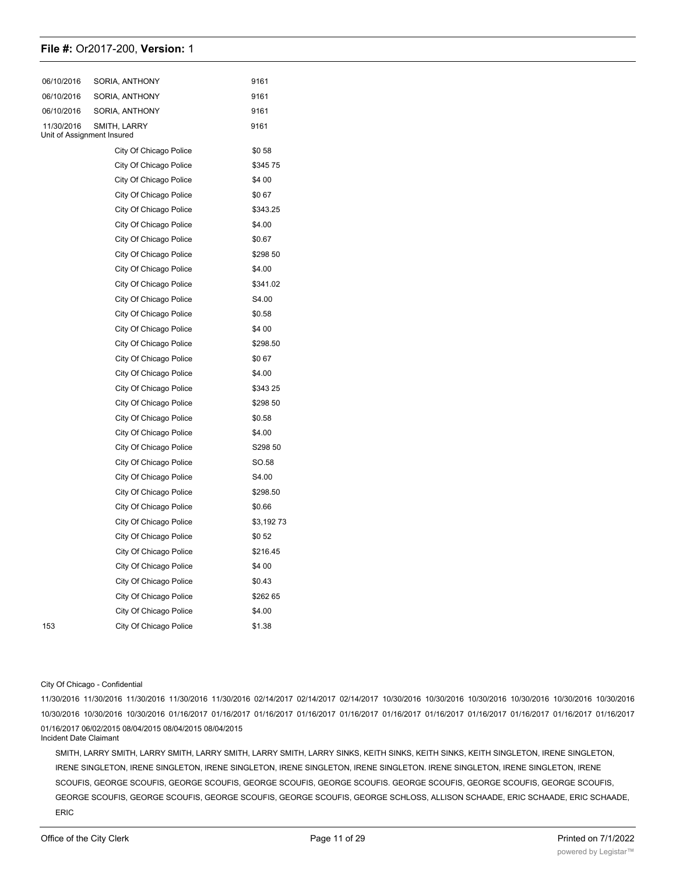| 06/10/2016                               | SORIA, ANTHONY         | 9161      |
|------------------------------------------|------------------------|-----------|
| 06/10/2016                               | SORIA, ANTHONY         | 9161      |
| 06/10/2016                               | SORIA, ANTHONY         | 9161      |
| 11/30/2016<br>Unit of Assignment Insured | SMITH, LARRY           | 9161      |
|                                          | City Of Chicago Police | \$058     |
|                                          | City Of Chicago Police | \$34575   |
|                                          | City Of Chicago Police | \$4 00    |
|                                          | City Of Chicago Police | \$067     |
|                                          | City Of Chicago Police | \$343.25  |
|                                          | City Of Chicago Police | \$4.00    |
|                                          | City Of Chicago Police | \$0.67    |
|                                          | City Of Chicago Police | \$298 50  |
|                                          | City Of Chicago Police | \$4.00    |
|                                          | City Of Chicago Police | \$341.02  |
|                                          | City Of Chicago Police | S4.00     |
|                                          | City Of Chicago Police | \$0.58    |
|                                          | City Of Chicago Police | \$4 00    |
|                                          | City Of Chicago Police | \$298.50  |
|                                          | City Of Chicago Police | \$067     |
|                                          | City Of Chicago Police | \$4.00    |
|                                          | City Of Chicago Police | \$343 25  |
|                                          | City Of Chicago Police | \$298 50  |
|                                          | City Of Chicago Police | \$0.58    |
|                                          | City Of Chicago Police | \$4.00    |
|                                          | City Of Chicago Police | S298 50   |
|                                          | City Of Chicago Police | SO.58     |
|                                          | City Of Chicago Police | S4.00     |
|                                          | City Of Chicago Police | \$298.50  |
|                                          | City Of Chicago Police | \$0.66    |
|                                          | City Of Chicago Police | \$3,19273 |
|                                          | City Of Chicago Police | \$052     |
|                                          | City Of Chicago Police | \$216.45  |
|                                          | City Of Chicago Police | \$4 00    |
|                                          | City Of Chicago Police | \$0.43    |
|                                          | City Of Chicago Police | \$262 65  |
|                                          | City Of Chicago Police | \$4.00    |
| 153                                      | City Of Chicago Police | \$1.38    |
|                                          |                        |           |

#### City Of Chicago - Confidential

11/30/2016 11/30/2016 11/30/2016 11/30/2016 11/30/2016 02/14/2017 02/14/2017 02/14/2017 10/30/2016 10/30/2016 10/30/2016 10/30/2016 10/30/2016 10/30/2016 10/30/2016 10/30/2016 10/30/2016 01/16/2017 01/16/2017 01/16/2017 01/16/2017 01/16/2017 01/16/2017 01/16/2017 01/16/2017 01/16/2017 01/16/2017 01/16/2017 01/16/2017 06/02/2015 08/04/2015 08/04/2015 08/04/2015 Incident Date Claimant

SMITH, LARRY SMITH, LARRY SMITH, LARRY SMITH, LARRY SMITH, LARRY SINKS, KEITH SINKS, KEITH SINKS, KEITH SINGLETON, IRENE SINGLETON, IRENE SINGLETON, IRENE SINGLETON, IRENE SINGLETON, IRENE SINGLETON, IRENE SINGLETON. IRENE SINGLETON, IRENE SINGLETON, IRENE SCOUFIS, GEORGE SCOUFIS, GEORGE SCOUFIS, GEORGE SCOUFIS, GEORGE SCOUFIS. GEORGE SCOUFIS, GEORGE SCOUFIS, GEORGE SCOUFIS, GEORGE SCOUFIS, GEORGE SCOUFIS, GEORGE SCOUFIS, GEORGE SCOUFIS, GEORGE SCHLOSS, ALLISON SCHAADE, ERIC SCHAADE, ERIC SCHAADE, ERIC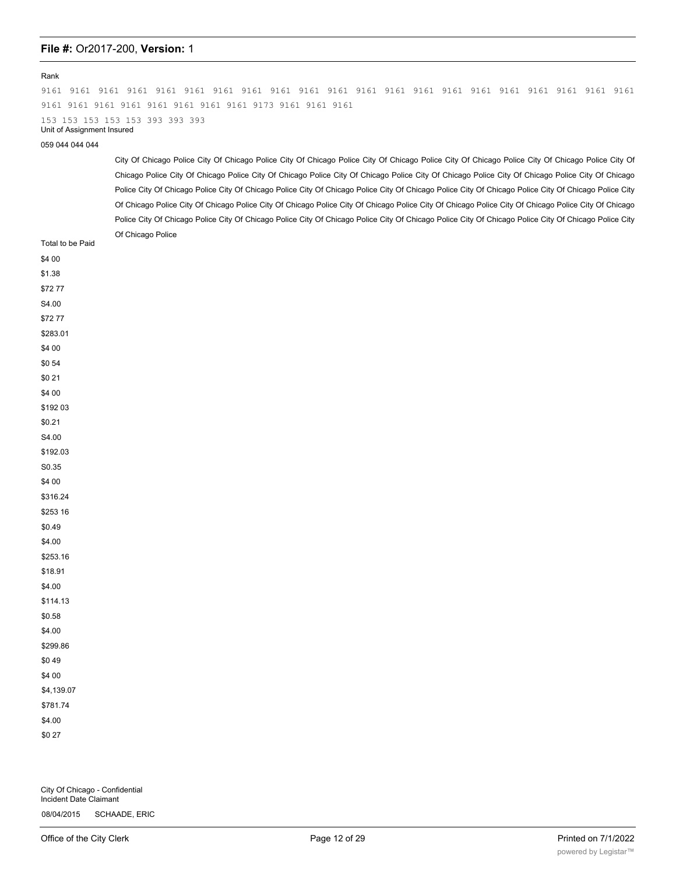#### Rank

9161 9161 9161 9161 9161 9161 9161 9161 9161 9161 9161 9161 9161 9161 9161 9161 9161 9161 9161 9161 9161 9161 9161 9161 9161 9161 9161 9161 9161 9173 9161 9161 9161 153 153 153 153 153 393 393 393 Unit of Assignment Insured

059 044 044 044

City Of Chicago Police City Of Chicago Police City Of Chicago Police City Of Chicago Police City Of Chicago Police City Of Chicago Police City Of Chicago Police City Of Chicago Police City Of Chicago Police City Of Chicago Police City Of Chicago Police City Of Chicago Police City Of Chicago Police City Of Chicago Police City Of Chicago Police City Of Chicago Police City Of Chicago Police City Of Chicago Police City Of Chicago Police City Of Chicago Police City Of Chicago Police City Of Chicago Police City Of Chicago Police City Of Chicago Police City Of Chicago Police City Of Chicago Police City Of Chicago Police City Of Chicago Police City Of Chicago Police City Of Chicago Police City Of Chicago Police City Of Chicago Police City Of Chicago Police

| $\check{ }$<br>Total to be Paid    |
|------------------------------------|
| \$4 00                             |
| \$1.38                             |
| \$7277                             |
| $\text{S4.00}$                     |
| \$7277                             |
| \$283.01                           |
| \$4 00                             |
| \$054                              |
| \$0 21                             |
| \$4 00                             |
| \$192 03                           |
| \$0.21                             |
| S4.00                              |
| \$192.03                           |
| $\textcolor{blue}{\mathbf{S0.35}}$ |
| \$4 00                             |
| \$316.24                           |
| \$253 16                           |
| \$0.49                             |
| \$4.00                             |
| \$253.16                           |
| \$18.91                            |
| \$4.00                             |
| \$114.13                           |
| \$0.58                             |
| \$4.00                             |
| \$299.86                           |
| \$049                              |
| \$4 00                             |
| \$4,139.07                         |
| \$781.74                           |
| \$4.00                             |
| \$0 27                             |
|                                    |

City Of Chicago - Confidential Incident Date Claimant 08/04/2015 SCHAADE, ERIC

08/04/2015 SCHAADE, ERIC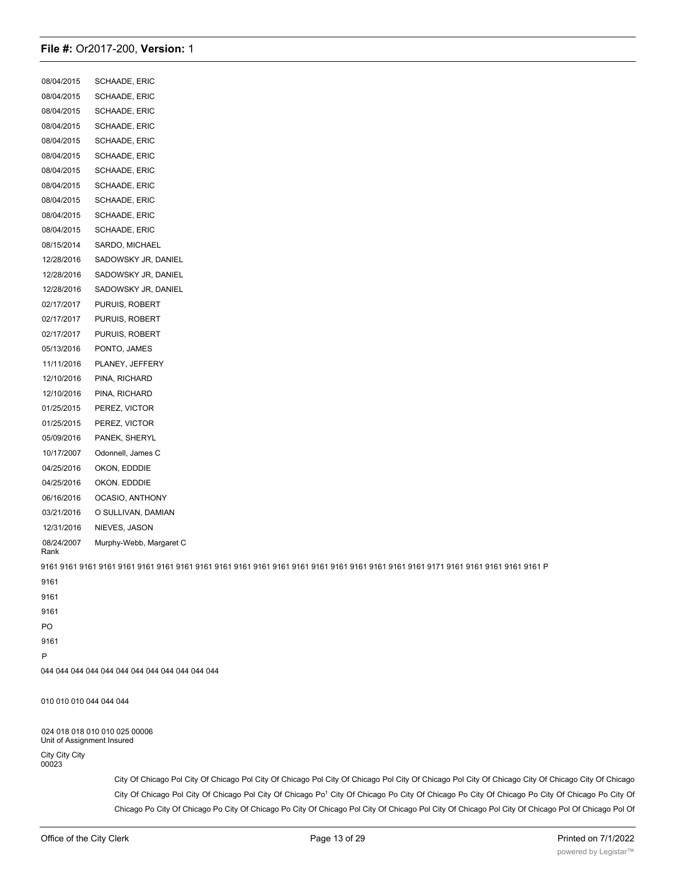08/04/2015 SCHAADE, ERIC 08/04/2015 SCHAADE, ERIC 08/04/2015 SCHAADE, ERIC 08/04/2015 SCHAADE, ERIC 08/04/2015 SCHAADE, ERIC 08/04/2015 SCHAADE, ERIC 08/04/2015 SCHAADE, ERIC 08/04/2015 SCHAADE, ERIC 08/04/2015 SCHAADE, ERIC 08/04/2015 SCHAADE, ERIC 08/04/2015 SCHAADE, ERIC 08/15/2014 SARDO, MICHAEL 12/28/2016 SADOWSKY JR, DANIEL 12/28/2016 SADOWSKY JR, DANIEL 12/28/2016 SADOWSKY JR, DANIEL 02/17/2017 PURUIS, ROBERT 02/17/2017 PURUIS, ROBERT 02/17/2017 PURUIS, ROBERT 05/13/2016 PONTO, JAMES 11/11/2016 PLANEY, JEFFERY 12/10/2016 PINA, RICHARD 12/10/2016 PINA, RICHARD 01/25/2015 PEREZ, VICTOR 01/25/2015 PEREZ, VICTOR 05/09/2016 PANEK, SHERYL 10/17/2007 Odonnell, James C 04/25/2016 OKON, EDDDIE 04/25/2016 OKON. EDDDIE 06/16/2016 OCASIO, ANTHONY 03/21/2016 O SULLIVAN, DAMIAN 12/31/2016 NIEVES, JASON 08/24/2007 Murphy-Webb, Margaret C Rank 9161 9161 9161 9161 9161 9161 9161 9161 9161 9161 9161 9161 9161 9161 9161 9161 9161 9161 9161 9161 9171 9161 9161 9161 9161 9161 P 9161 9161 9161 PO 9161 P 044 044 044 044 044 044 044 044 044 044 044 044 010 010 010 044 044 044

024 018 018 010 010 025 00006 Unit of Assignment Insured

City City City 00023

> City Of Chicago Pol City Of Chicago Pol City Of Chicago Pol City Of Chicago Pol City Of Chicago Pol City Of Chicago City Of Chicago City Of Chicago City Of Chicago Pol City Of Chicago Pol City Of Chicago Po1 City Of Chicago Po City Of Chicago Po City Of Chicago Po City Of Chicago Po City Of Chicago Po City Of Chicago Po City Of Chicago Po City Of Chicago Pol City Of Chicago Pol City Of Chicago Pol City Of Chicago Pol Of Chicago Pol Of

> Chicago Pol Of Chicago Pol City Of Chicago Pol City Of Chicago Pol City Of Chicago Pol City Of Chicago Pol City Of Chicago Pol City Of Chicago Pol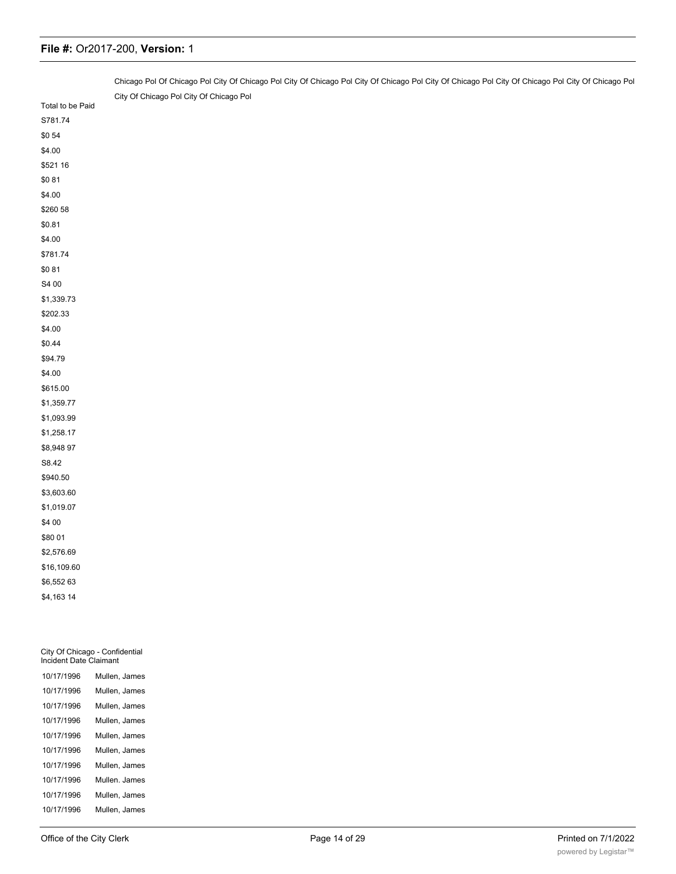|                                                          | Chicago Pol Of Chicago Pol City Of Chicago Pol City Of Chicago Pol City Of Chicago Pol City Of Chicago Pol City Of Chicago Pol City Of Chicago Pol City Of Chicago Pol |
|----------------------------------------------------------|------------------------------------------------------------------------------------------------------------------------------------------------------------------------|
|                                                          | City Of Chicago Pol City Of Chicago Pol                                                                                                                                |
| Total to be Paid                                         |                                                                                                                                                                        |
| S781.74                                                  |                                                                                                                                                                        |
| \$054                                                    |                                                                                                                                                                        |
| \$4.00                                                   |                                                                                                                                                                        |
| \$521 16                                                 |                                                                                                                                                                        |
| \$081                                                    |                                                                                                                                                                        |
| \$4.00                                                   |                                                                                                                                                                        |
| \$260 58                                                 |                                                                                                                                                                        |
| \$0.81                                                   |                                                                                                                                                                        |
| \$4.00                                                   |                                                                                                                                                                        |
| \$781.74                                                 |                                                                                                                                                                        |
| \$081                                                    |                                                                                                                                                                        |
| S4 00                                                    |                                                                                                                                                                        |
| \$1,339.73                                               |                                                                                                                                                                        |
| \$202.33                                                 |                                                                                                                                                                        |
| \$4.00                                                   |                                                                                                                                                                        |
| \$0.44                                                   |                                                                                                                                                                        |
| \$94.79                                                  |                                                                                                                                                                        |
| \$4.00                                                   |                                                                                                                                                                        |
| \$615.00                                                 |                                                                                                                                                                        |
| \$1,359.77                                               |                                                                                                                                                                        |
| \$1,093.99                                               |                                                                                                                                                                        |
| \$1,258.17                                               |                                                                                                                                                                        |
| \$8,948 97                                               |                                                                                                                                                                        |
| S8.42                                                    |                                                                                                                                                                        |
| \$940.50                                                 |                                                                                                                                                                        |
| \$3,603.60                                               |                                                                                                                                                                        |
| \$1,019.07                                               |                                                                                                                                                                        |
| \$4 00                                                   |                                                                                                                                                                        |
| \$80 01                                                  |                                                                                                                                                                        |
| \$2,576.69                                               |                                                                                                                                                                        |
| \$16,109.60                                              |                                                                                                                                                                        |
| \$6,552 63                                               |                                                                                                                                                                        |
| \$4,163 14                                               |                                                                                                                                                                        |
|                                                          |                                                                                                                                                                        |
| City Of Chicago - Confidential<br>Incident Date Claimant |                                                                                                                                                                        |
| 10/17/1996                                               | Mullen, James                                                                                                                                                          |

|            | סטוווסוו. טפוווסט |
|------------|-------------------|
| 10/17/1996 | Mullen, James     |
| 10/17/1996 | Mullen, James     |
| 10/17/1996 | Mullen, James     |
| 10/17/1996 | Mullen, James     |
| 10/17/1996 | Mullen, James     |
| 10/17/1996 | Mullen, James     |
| 10/17/1996 | Mullen, James     |
| 10/17/1996 | Mullen, James     |
| 10/17/1996 | Mullen, James     |

10/17/1996 Mullen, James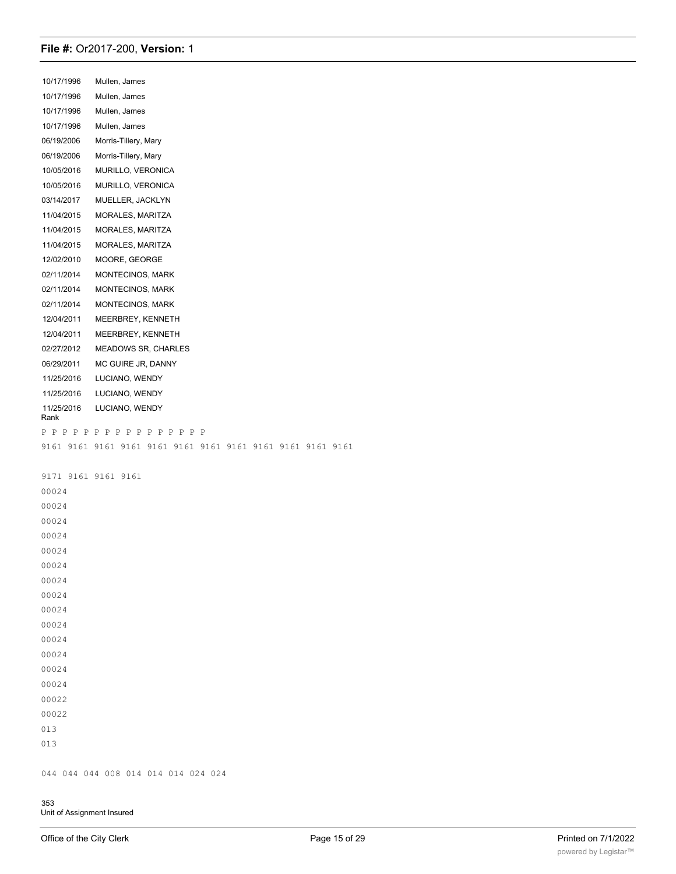10/17/1996 Mullen, James

10/17/1996 Mullen, James 10/17/1996 Mullen, James 10/17/1996 Mullen, James 06/19/2006 Morris-Tillery, Mary 06/19/2006 Morris-Tillery, Mary 10/05/2016 MURILLO, VERONICA 10/05/2016 MURILLO, VERONICA 03/14/2017 MUELLER, JACKLYN 11/04/2015 MORALES, MARITZA 11/04/2015 MORALES, MARITZA 11/04/2015 MORALES, MARITZA 12/02/2010 MOORE, GEORGE 02/11/2014 MONTECINOS, MARK 02/11/2014 MONTECINOS, MARK 02/11/2014 MONTECINOS, MARK 12/04/2011 MEERBREY, KENNETH 12/04/2011 MEERBREY, KENNETH 02/27/2012 MEADOWS SR, CHARLES 06/29/2011 MC GUIRE JR, DANNY 11/25/2016 LUCIANO, WENDY 11/25/2016 LUCIANO, WENDY 11/25/2016 LUCIANO, WENDY Rank P P P P P P P P P P P P P P P P 9161 9161 9161 9161 9161 9161 9161 9161 9161 9161 9161 9161 9171 9161 9161 9161 00024 00024 00024 00024 00024 00024 00024

00024 00024 00024 00024 00022 00022 013 013

00024 00024 00024

044 044 044 008 014 014 014 024 024

353 Unit of Assignment Insured

City Of Chicago Pol City Of Chicago Pol City Of Chicago Po; City Of Chicago Po City Of Chicago Pa City Of Chicago City Of Chicago City Of Chicago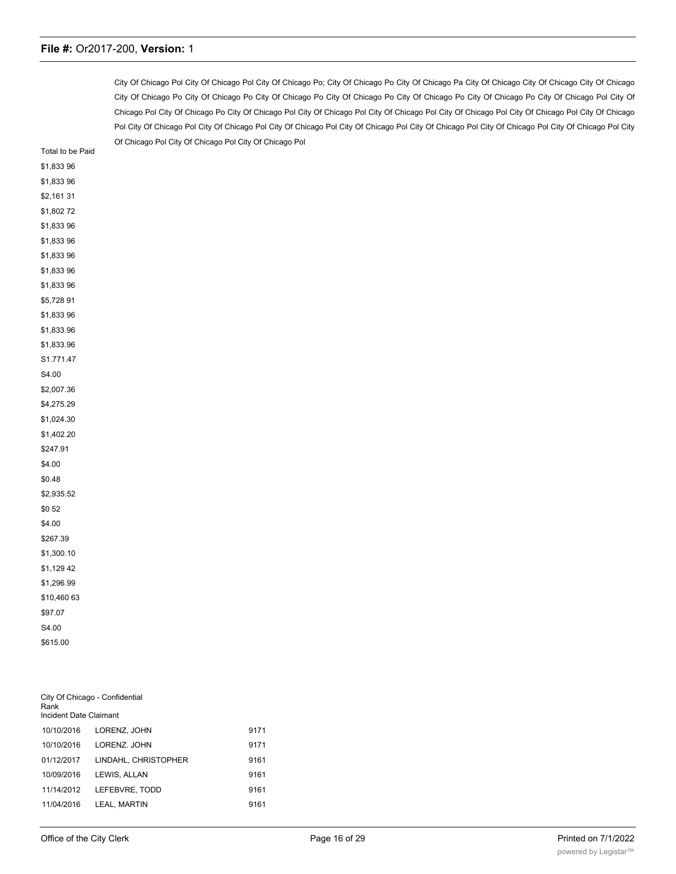City Of Chicago Pol City Of Chicago Pol City Of Chicago Po; City Of Chicago Po City Of Chicago Pa City Of Chicago City Of Chicago City Of Chicago City Of Chicago Po City Of Chicago Po City Of Chicago Po City Of Chicago Po City Of Chicago Po City Of Chicago Po City Of Chicago Pol City Of Chicago Pol City Of Chicago Po City Of Chicago Pol City Of Chicago Pol City Of Chicago Pol City Of Chicago Pol City Of Chicago Pol City Of Chicago Pol City Of Chicago Pol City Of Chicago Pol City Of Chicago Pol City Of Chicago Pol City Of Chicago Pol City Of Chicago Pol City Of Chicago Pol City Of Chicago Pol City Of Chicago Pol City Of Chicago Pol

| Total to be Paid |
|------------------|
| \$1,83396        |
| \$1,83396        |
| \$2,161 31       |
| \$1,80272        |
| \$1,83396        |
| \$1,83396        |
| \$1,83396        |
| \$1,833 96       |
| \$1,83396        |
| \$5,72891        |
| \$1,83396        |
| \$1,833.96       |
| \$1,833.96       |
| S1.771.47        |
| S4.00            |
| \$2,007.36       |
| \$4,275.29       |
| \$1,024.30       |
| \$1,402.20       |
| \$247.91         |
| \$4.00           |
| \$0.48           |
| \$2,935.52       |
| \$0 52           |
| \$4.00           |
| \$267.39         |
| \$1,300.10       |
| \$1,129 42       |
| \$1,296.99       |
| \$10,460 63      |
| \$97.07          |
| S4.00            |
| \$615.00         |

| City Of Chicago - Confidential<br>Rank<br>Incident Date Claimant |                      |      |  |
|------------------------------------------------------------------|----------------------|------|--|
| 10/10/2016                                                       | LORENZ. JOHN         | 9171 |  |
| 10/10/2016                                                       | LORENZ, JOHN         | 9171 |  |
| 01/12/2017                                                       | LINDAHL, CHRISTOPHER | 9161 |  |
| 10/09/2016                                                       | LEWIS, ALLAN         | 9161 |  |
| 11/14/2012                                                       | LEFEBVRE. TODD       | 9161 |  |
| 11/04/2016                                                       | <b>LEAL. MARTIN</b>  | 9161 |  |
|                                                                  |                      |      |  |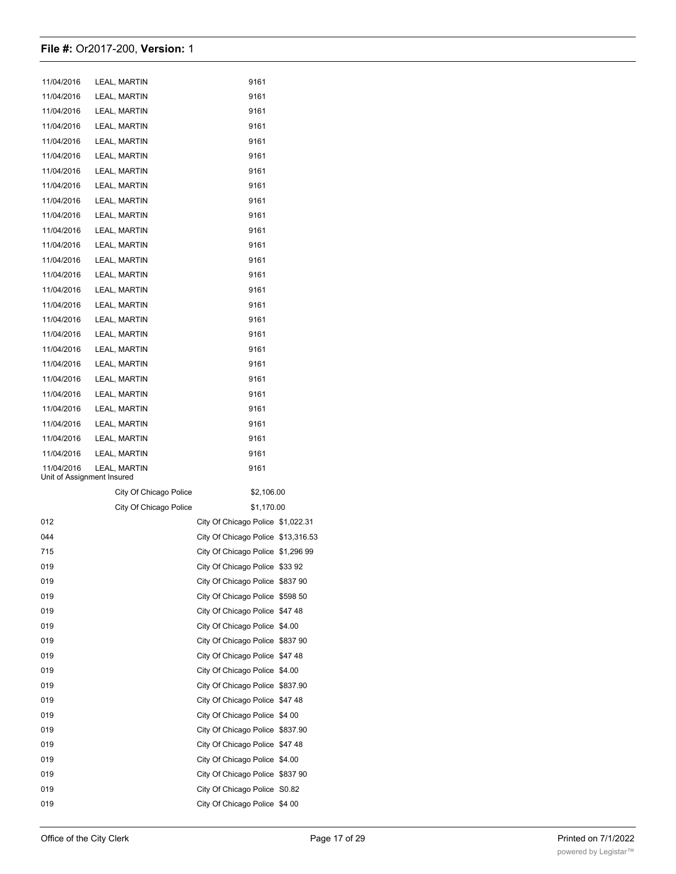| 11/04/2016                 | LEAL, MARTIN           | 9161                               |                   |
|----------------------------|------------------------|------------------------------------|-------------------|
| 11/04/2016                 | LEAL, MARTIN           | 9161                               |                   |
| 11/04/2016                 | LEAL, MARTIN           | 9161                               |                   |
| 11/04/2016                 | LEAL, MARTIN           | 9161                               |                   |
| 11/04/2016                 | LEAL, MARTIN           | 9161                               |                   |
| 11/04/2016                 | LEAL, MARTIN           | 9161                               |                   |
| 11/04/2016                 | LEAL, MARTIN           | 9161                               |                   |
| 11/04/2016                 | LEAL, MARTIN           | 9161                               |                   |
| 11/04/2016                 | LEAL, MARTIN           | 9161                               |                   |
| 11/04/2016                 | LEAL, MARTIN           | 9161                               |                   |
| 11/04/2016                 | LEAL, MARTIN           | 9161                               |                   |
| 11/04/2016                 | LEAL, MARTIN           | 9161                               |                   |
| 11/04/2016                 | LEAL, MARTIN           | 9161                               |                   |
| 11/04/2016                 | LEAL, MARTIN           | 9161                               |                   |
| 11/04/2016                 | LEAL, MARTIN           | 9161                               |                   |
| 11/04/2016                 | LEAL, MARTIN           | 9161                               |                   |
| 11/04/2016                 | LEAL, MARTIN           | 9161                               |                   |
| 11/04/2016                 | LEAL, MARTIN           | 9161                               |                   |
| 11/04/2016                 | LEAL, MARTIN           | 9161                               |                   |
| 11/04/2016                 | LEAL, MARTIN           | 9161                               |                   |
| 11/04/2016                 | LEAL, MARTIN           | 9161                               |                   |
| 11/04/2016                 | LEAL, MARTIN           | 9161                               |                   |
| 11/04/2016                 | LEAL, MARTIN           | 9161                               |                   |
| 11/04/2016                 | LEAL, MARTIN           | 9161                               |                   |
| 11/04/2016                 | LEAL, MARTIN           | 9161                               |                   |
| 11/04/2016                 | LEAL, MARTIN           | 9161                               |                   |
| 11/04/2016                 | LEAL, MARTIN           | 9161                               |                   |
| Unit of Assignment Insured |                        |                                    |                   |
|                            | City Of Chicago Police | \$2,106.00                         |                   |
|                            | City Of Chicago Police | \$1,170.00                         |                   |
| 012                        |                        | City Of Chicago Police \$1,022.31  |                   |
| 044                        |                        | City Of Chicago Police \$13,316.53 |                   |
| 715                        |                        | City Of Chicago Police \$1,296 99  |                   |
| 019                        |                        | City Of Chicago Police \$33 92     |                   |
| 019                        |                        | City Of Chicago Police \$837 90    |                   |
| 019                        |                        | City Of Chicago Police \$598 50    |                   |
| 019                        |                        | City Of Chicago Police             | \$4748            |
| 019                        |                        | City Of Chicago Police \$4.00      |                   |
| 019                        |                        | City Of Chicago Police             | \$837 90          |
| 019                        |                        | City Of Chicago Police             | \$4748            |
| 019                        |                        | City Of Chicago Police             | \$4.00            |
| 019                        |                        | City Of Chicago Police \$837.90    |                   |
| 019                        |                        | City Of Chicago Police             | \$4748            |
| 019                        |                        | City Of Chicago Police             | \$4 00            |
| 019                        |                        | City Of Chicago Police             | \$837.90          |
| 019                        |                        | City Of Chicago Police             | \$4748            |
| 019                        |                        | City Of Chicago Police             | \$4.00            |
| 019                        |                        | City Of Chicago Police             | \$837 90          |
| 019                        |                        | City Of Chicago Police             | S <sub>0.82</sub> |
| 019                        |                        | City Of Chicago Police \$4 00      |                   |
|                            |                        |                                    |                   |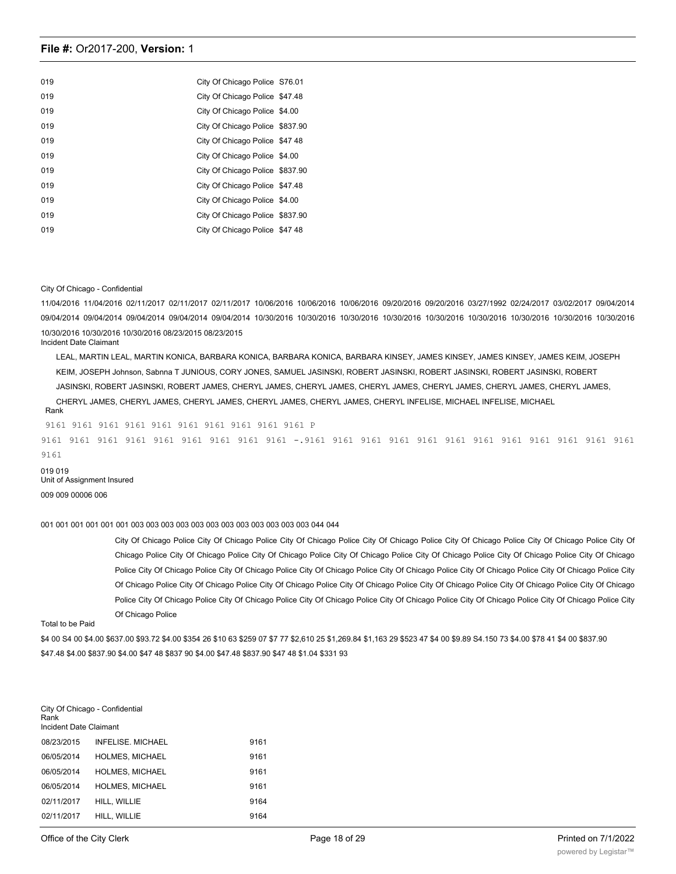| 019 | City Of Chicago Police S76.01   |  |
|-----|---------------------------------|--|
| 019 | City Of Chicago Police \$47.48  |  |
| 019 | City Of Chicago Police \$4.00   |  |
| 019 | City Of Chicago Police \$837.90 |  |
| 019 | City Of Chicago Police \$47 48  |  |
| 019 | City Of Chicago Police \$4.00   |  |
| 019 | City Of Chicago Police \$837.90 |  |
| 019 | City Of Chicago Police \$47.48  |  |
| 019 | City Of Chicago Police \$4.00   |  |
| 019 | City Of Chicago Police \$837.90 |  |
| 019 | City Of Chicago Police \$47 48  |  |

#### City Of Chicago - Confidential

11/04/2016 11/04/2016 02/11/2017 02/11/2017 02/11/2017 10/06/2016 10/06/2016 10/06/2016 09/20/2016 09/20/2016 03/27/1992 02/24/2017 03/02/2017 09/04/2014 09/04/2014 09/04/2014 09/04/2014 09/04/2014 09/04/2014 10/30/2016 10/30/2016 10/30/2016 10/30/2016 10/30/2016 10/30/2016 10/30/2016 10/30/2016 10/30/2016 10/30/2016 10/30/2016 10/30/2016 08/23/2015 08/23/2015 Incident Date Claimant

LEAL, MARTIN LEAL, MARTIN KONICA, BARBARA KONICA, BARBARA KONICA, BARBARA KINSEY, JAMES KINSEY, JAMES KINSEY, JAMES KEIM, JOSEPH KEIM, JOSEPH Johnson, Sabnna T JUNIOUS, CORY JONES, SAMUEL JASINSKI, ROBERT JASINSKI, ROBERT JASINSKI, ROBERT JASINSKI, ROBERT JASINSKI, ROBERT JASINSKI, ROBERT JAMES, CHERYL JAMES, CHERYL JAMES, CHERYL JAMES, CHERYL JAMES, CHERYL JAMES, CHERYL JAMES, CHERYL JAMES, CHERYL JAMES, CHERYL JAMES, CHERYL JAMES, CHERYL JAMES, CHERYL INFELISE, MICHAEL INFELISE, MICHAEL

#### Rank

9161 9161 9161 9161 9161 9161 9161 9161 9161 9161 P 9161 9161 9161 9161 9161 9161 9161 9161 9161 -.9161 9161 9161 9161 9161 9161 9161 9161 9161 9161 9161 9161 9161

019 019 Unit of Assignment Insured 009 009 00006 006

#### 001 001 001 001 001 001 003 003 003 003 003 003 003 003 003 003 003 003 044 044

City Of Chicago Police City Of Chicago Police City Of Chicago Police City Of Chicago Police City Of Chicago Police City Of Chicago Police City Of Chicago Police City Of Chicago Police City Of Chicago Police City Of Chicago Police City Of Chicago Police City Of Chicago Police City Of Chicago Police City Of Chicago Police City Of Chicago Police City Of Chicago Police City Of Chicago Police City Of Chicago Police City Of Chicago Police City Of Chicago Police City Of Chicago Police City Of Chicago Police City Of Chicago Police City Of Chicago Police City Of Chicago Police City Of Chicago Police City Of Chicago Police City Of Chicago Police City Of Chicago Police City Of Chicago Police City Of Chicago Police City Of Chicago Police City Of Chicago Police

Total to be Paid

\$4 00 S4 00 \$4.00 \$637.00 \$93.72 \$4.00 \$354 26 \$10 63 \$259 07 \$7 77 \$2,610 25 \$1,269.84 \$1,163 29 \$523 47 \$4 00 \$9.89 S4.150 73 \$4.00 \$78 41 \$4 00 \$837.90 \$47.48 \$4.00 \$837.90 \$4.00 \$47 48 \$837 90 \$4.00 \$47.48 \$837.90 \$47 48 \$1.04 \$331 93

| Rank<br>Incident Date Claimant | City Of Chicago - Confidential |      |
|--------------------------------|--------------------------------|------|
| 08/23/2015                     | <b>INFELISE, MICHAEL</b>       | 9161 |
| 06/05/2014                     | <b>HOLMES, MICHAEL</b>         | 9161 |
| 06/05/2014                     | <b>HOLMES, MICHAEL</b>         | 9161 |
| 06/05/2014                     | <b>HOLMES, MICHAEL</b>         | 9161 |
| 02/11/2017                     | HILL, WILLIE                   | 9164 |
| 02/11/2017                     | HILL, WILLIE                   | 9164 |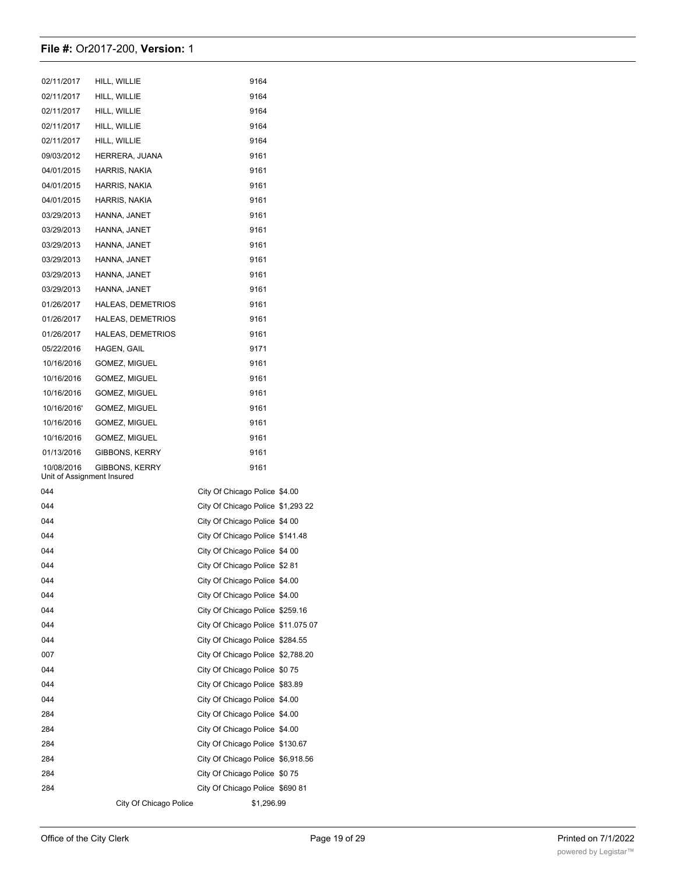| 02/11/2017                               | HILL, WILLIE             | 9164                               |  |
|------------------------------------------|--------------------------|------------------------------------|--|
| 02/11/2017                               | HILL, WILLIE             | 9164                               |  |
| 02/11/2017                               | HILL, WILLIE             | 9164                               |  |
| 02/11/2017                               | HILL, WILLIE             | 9164                               |  |
| 02/11/2017                               | HILL, WILLIE             | 9164                               |  |
| 09/03/2012                               | HERRERA, JUANA           | 9161                               |  |
| 04/01/2015                               | HARRIS, NAKIA            | 9161                               |  |
| 04/01/2015                               | HARRIS, NAKIA            | 9161                               |  |
| 04/01/2015                               | HARRIS, NAKIA            | 9161                               |  |
| 03/29/2013                               | HANNA, JANET             | 9161                               |  |
| 03/29/2013                               | HANNA, JANET             | 9161                               |  |
| 03/29/2013                               | HANNA, JANET             | 9161                               |  |
| 03/29/2013                               | HANNA, JANET             | 9161                               |  |
| 03/29/2013                               | HANNA, JANET             | 9161                               |  |
| 03/29/2013                               | HANNA, JANET             | 9161                               |  |
| 01/26/2017                               | <b>HALEAS, DEMETRIOS</b> | 9161                               |  |
| 01/26/2017                               | <b>HALEAS, DEMETRIOS</b> | 9161                               |  |
| 01/26/2017                               | <b>HALEAS, DEMETRIOS</b> | 9161                               |  |
| 05/22/2016                               | HAGEN, GAIL              | 9171                               |  |
| 10/16/2016                               | GOMEZ, MIGUEL            | 9161                               |  |
| 10/16/2016                               | <b>GOMEZ, MIGUEL</b>     | 9161                               |  |
| 10/16/2016                               | GOMEZ, MIGUEL            | 9161                               |  |
| 10/16/2016'                              | GOMEZ, MIGUEL            | 9161                               |  |
| 10/16/2016                               | GOMEZ, MIGUEL            | 9161                               |  |
| 10/16/2016                               | GOMEZ, MIGUEL            | 9161                               |  |
| 01/13/2016                               | GIBBONS, KERRY           | 9161                               |  |
| 10/08/2016<br>Unit of Assignment Insured | GIBBONS, KERRY           | 9161                               |  |
| 044                                      |                          | City Of Chicago Police \$4.00      |  |
| 044                                      |                          | City Of Chicago Police \$1,293 22  |  |
| 044                                      |                          | City Of Chicago Police \$4 00      |  |
| 044                                      |                          | City Of Chicago Police \$141.48    |  |
| 044                                      |                          | City Of Chicago Police \$4 00      |  |
| 044                                      |                          | City Of Chicago Police \$281       |  |
| 044                                      |                          | City Of Chicago Police \$4.00      |  |
| 044                                      |                          | City Of Chicago Police \$4.00      |  |
| 044                                      |                          | City Of Chicago Police \$259.16    |  |
| 044                                      |                          | City Of Chicago Police \$11.075 07 |  |
| 044                                      |                          | City Of Chicago Police \$284.55    |  |
| 007                                      |                          | City Of Chicago Police \$2,788.20  |  |
| 044                                      |                          | City Of Chicago Police \$075       |  |
| 044                                      |                          | City Of Chicago Police \$83.89     |  |
| 044                                      |                          | City Of Chicago Police \$4.00      |  |
| 284                                      |                          | City Of Chicago Police \$4.00      |  |
| 284                                      |                          | City Of Chicago Police \$4.00      |  |
| 284                                      |                          | City Of Chicago Police \$130.67    |  |
| 284                                      |                          | City Of Chicago Police \$6,918.56  |  |
| 284                                      |                          | City Of Chicago Police \$075       |  |
| 284                                      |                          | City Of Chicago Police \$690 81    |  |
|                                          | City Of Chicago Police   | \$1,296.99                         |  |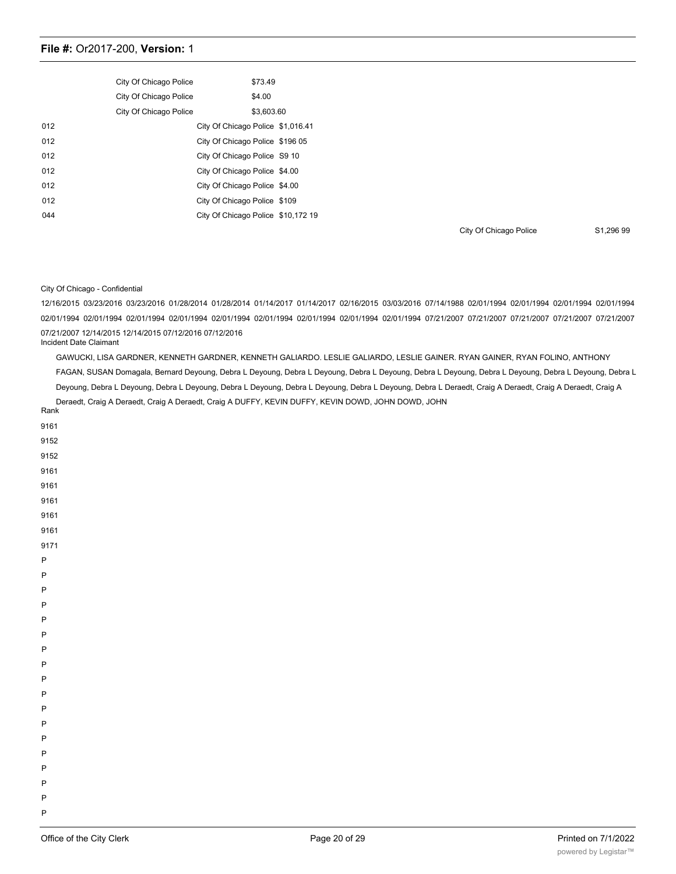|     | City Of Chicago Police |                                    | \$73.49    |  |
|-----|------------------------|------------------------------------|------------|--|
|     | City Of Chicago Police |                                    | \$4.00     |  |
|     | City Of Chicago Police |                                    | \$3.603.60 |  |
| 012 |                        | City Of Chicago Police \$1,016.41  |            |  |
| 012 |                        | City Of Chicago Police \$196 05    |            |  |
| 012 |                        | City Of Chicago Police S9 10       |            |  |
| 012 |                        | City Of Chicago Police \$4.00      |            |  |
| 012 |                        | City Of Chicago Police \$4.00      |            |  |
| 012 |                        | City Of Chicago Police \$109       |            |  |
| 044 |                        | City Of Chicago Police \$10,172 19 |            |  |

City Of Chicago Police S1,296 99

#### City Of Chicago - Confidential

12/16/2015 03/23/2016 03/23/2016 01/28/2014 01/28/2014 01/14/2017 01/14/2017 02/16/2015 03/03/2016 07/14/1988 02/01/1994 02/01/1994 02/01/1994 02/01/1994 02/01/1994 02/01/1994 02/01/1994 02/01/1994 02/01/1994 02/01/1994 02/01/1994 02/01/1994 02/01/1994 07/21/2007 07/21/2007 07/21/2007 07/21/2007 07/21/2007 07/21/2007 12/14/2015 12/14/2015 07/12/2016 07/12/2016 Incident Date Claimant

GAWUCKI, LISA GARDNER, KENNETH GARDNER, KENNETH GALIARDO. LESLIE GALIARDO, LESLIE GAINER. RYAN GAINER, RYAN FOLINO, ANTHONY FAGAN, SUSAN Domagala, Bernard Deyoung, Debra L Deyoung, Debra L Deyoung, Debra L Deyoung, Debra L Deyoung, Debra L Deyoung, Debra L Deyoung, Debra L Deyoung, Debra L Deyoung, Debra L Deyoung, Debra L Deyoung, Debra L Deyoung, Debra L Deyoung, Debra L Deraedt, Craig A Deraedt, Craig A Deraedt, Craig A Deraedt, Craig A Deraedt, Craig A Deraedt, Craig A DUFFY, KEVIN DUFFY, KEVIN DOWD, JOHN DOWD, JOHN Rank

| 9161    |  |  |
|---------|--|--|
| 9152    |  |  |
| 9152    |  |  |
| 9161    |  |  |
| 9161    |  |  |
| 9161    |  |  |
| 9161    |  |  |
| 9161    |  |  |
| 9171    |  |  |
| $\sf P$ |  |  |
| $\sf P$ |  |  |
| $\sf P$ |  |  |
| $\sf P$ |  |  |
| P       |  |  |
| $\sf P$ |  |  |
| P       |  |  |
| $\sf P$ |  |  |
| $\sf P$ |  |  |
| $\sf P$ |  |  |
| $\sf P$ |  |  |
| $\sf P$ |  |  |
| $\sf P$ |  |  |
| $\sf P$ |  |  |
| P       |  |  |
| $\sf P$ |  |  |
| P       |  |  |
| P       |  |  |

P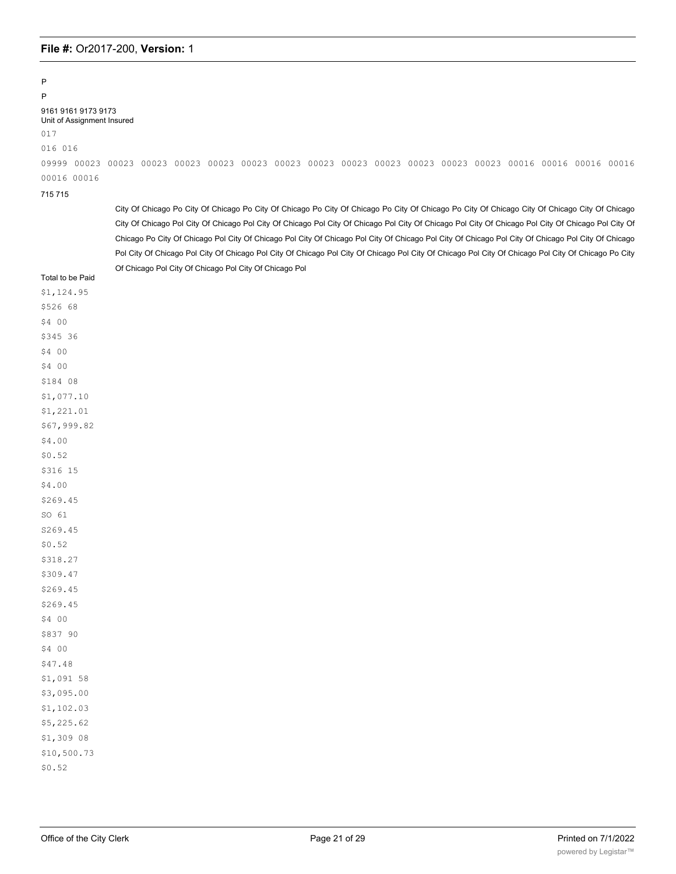# P

P 9161 9161 9173 9173

Unit of Assignment Insured 017

016 016

09999 00023 00023 00023 00023 00023 00023 00023 00023 00023 00023 00023 00023 00023 00016 00016 00016 00016 00016 00016

715 715

City Of Chicago Po City Of Chicago Po City Of Chicago Po City Of Chicago Po City Of Chicago Po City Of Chicago City Of Chicago City Of Chicago City Of Chicago Pol City Of Chicago Pol City Of Chicago Pol City Of Chicago Pol City Of Chicago Pol City Of Chicago Pol City Of Chicago Pol City Of Chicago Po City Of Chicago Pol City Of Chicago Pol City Of Chicago Pol City Of Chicago Pol City Of Chicago Pol City Of Chicago Pol City Of Chicago Pol City Of Chicago Pol City Of Chicago Pol City Of Chicago Pol City Of Chicago Pol City Of Chicago Pol City Of Chicago Pol City Of Chicago Po City Of Chicago Pol City Of Chicago Pol City Of Chicago Pol

| Total to be Paid |  |  |  |
|------------------|--|--|--|
|------------------|--|--|--|

|     |                |  | \$1,124.95  |  |  |
|-----|----------------|--|-------------|--|--|
|     | \$526 68       |  |             |  |  |
|     | \$4 00         |  |             |  |  |
|     | \$345 36       |  |             |  |  |
|     | \$4 00         |  |             |  |  |
| \$4 | 0 <sub>0</sub> |  |             |  |  |
|     | \$184 08       |  |             |  |  |
|     |                |  | \$1,077.10  |  |  |
|     |                |  | \$1,221.01  |  |  |
|     |                |  | \$67,999.82 |  |  |
|     | \$4.00         |  |             |  |  |
|     | \$0.52         |  |             |  |  |
|     | \$316 15       |  |             |  |  |
|     | \$4.00         |  |             |  |  |
|     | \$269.45       |  |             |  |  |
|     | SO 61          |  |             |  |  |
|     | S269.45        |  |             |  |  |
|     | \$0.52         |  |             |  |  |
|     | \$318.27       |  |             |  |  |
|     | \$309.47       |  |             |  |  |
|     | \$269.45       |  |             |  |  |
|     | \$269.45       |  |             |  |  |
|     | \$4 00         |  |             |  |  |
|     | \$837 90       |  |             |  |  |
|     | \$4 00         |  |             |  |  |
|     | \$47.48        |  |             |  |  |
|     |                |  | \$1,091 58  |  |  |
|     |                |  | \$3,095.00  |  |  |
|     |                |  | \$1,102.03  |  |  |
|     |                |  | \$5,225.62  |  |  |
|     |                |  | \$1,309 08  |  |  |
|     |                |  |             |  |  |

\$10,500.73 \$0.52

City Of Chicago - Confidential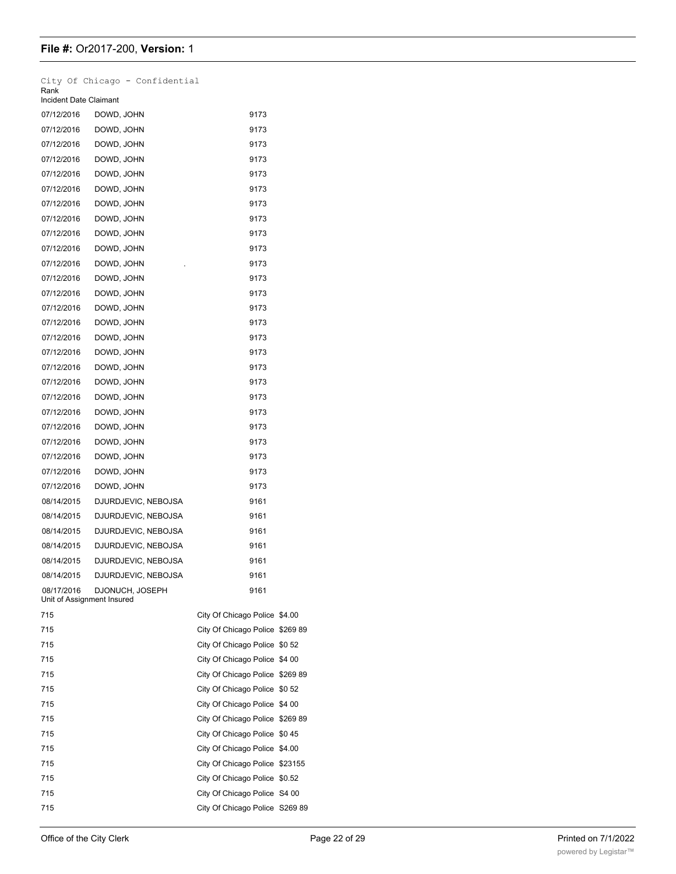| Rank<br>Incident Date Claimant           | City Of Chicago - Confidential |                                 |  |
|------------------------------------------|--------------------------------|---------------------------------|--|
| 07/12/2016                               | DOWD, JOHN                     | 9173                            |  |
| 07/12/2016                               | DOWD, JOHN                     | 9173                            |  |
| 07/12/2016                               | DOWD, JOHN                     | 9173                            |  |
| 07/12/2016                               | DOWD, JOHN                     | 9173                            |  |
| 07/12/2016                               | DOWD, JOHN                     | 9173                            |  |
| 07/12/2016                               | DOWD, JOHN                     | 9173                            |  |
| 07/12/2016                               | DOWD, JOHN                     | 9173                            |  |
| 07/12/2016                               | DOWD, JOHN                     | 9173                            |  |
| 07/12/2016                               | DOWD, JOHN                     | 9173                            |  |
| 07/12/2016                               | DOWD, JOHN                     | 9173                            |  |
| 07/12/2016                               | DOWD, JOHN                     | 9173                            |  |
| 07/12/2016                               | DOWD, JOHN                     | 9173                            |  |
| 07/12/2016                               | DOWD, JOHN                     | 9173                            |  |
| 07/12/2016                               | DOWD, JOHN                     | 9173                            |  |
| 07/12/2016                               | DOWD, JOHN                     | 9173                            |  |
| 07/12/2016                               | DOWD, JOHN                     | 9173                            |  |
| 07/12/2016                               | DOWD, JOHN                     | 9173                            |  |
| 07/12/2016                               | DOWD, JOHN                     | 9173                            |  |
| 07/12/2016                               | DOWD, JOHN                     | 9173                            |  |
| 07/12/2016                               | DOWD, JOHN                     | 9173                            |  |
| 07/12/2016                               | DOWD, JOHN                     | 9173                            |  |
| 07/12/2016                               | DOWD, JOHN                     | 9173                            |  |
| 07/12/2016                               | DOWD, JOHN                     | 9173                            |  |
| 07/12/2016                               | DOWD, JOHN                     | 9173                            |  |
| 07/12/2016                               | DOWD, JOHN                     | 9173                            |  |
| 07/12/2016                               | DOWD, JOHN                     | 9173                            |  |
| 08/14/2015                               | DJURDJEVIC, NEBOJSA            | 9161                            |  |
| 08/14/2015                               | DJURDJEVIC, NEBOJSA            | 9161                            |  |
| 08/14/2015                               | DJURDJEVIC, NEBOJSA            | 9161                            |  |
| 08/14/2015                               | DJURDJEVIC, NEBOJSA            | 9161                            |  |
| 08/14/2015                               | DJURDJEVIC, NEBOJSA            | 9161                            |  |
| 08/14/2015                               | DJURDJEVIC, NEBOJSA            | 9161                            |  |
| 08/17/2016<br>Unit of Assignment Insured | DJONUCH, JOSEPH                | 9161                            |  |
| 715                                      |                                | City Of Chicago Police \$4.00   |  |
| 715                                      |                                | City Of Chicago Police \$269 89 |  |
| 715                                      |                                | City Of Chicago Police \$0 52   |  |
| 715                                      |                                | City Of Chicago Police \$4 00   |  |
| 715                                      |                                | City Of Chicago Police \$269 89 |  |
| 715                                      |                                | City Of Chicago Police \$0 52   |  |
| 715                                      |                                | City Of Chicago Police \$4 00   |  |
| 715                                      |                                | City Of Chicago Police \$269 89 |  |
| 715                                      |                                | City Of Chicago Police \$0 45   |  |
| 715                                      |                                | City Of Chicago Police \$4.00   |  |
| 715                                      |                                | City Of Chicago Police \$23155  |  |
| 715                                      |                                | City Of Chicago Police \$0.52   |  |
| 715                                      |                                | City Of Chicago Police S4 00    |  |
| 715                                      |                                | City Of Chicago Police S269 89  |  |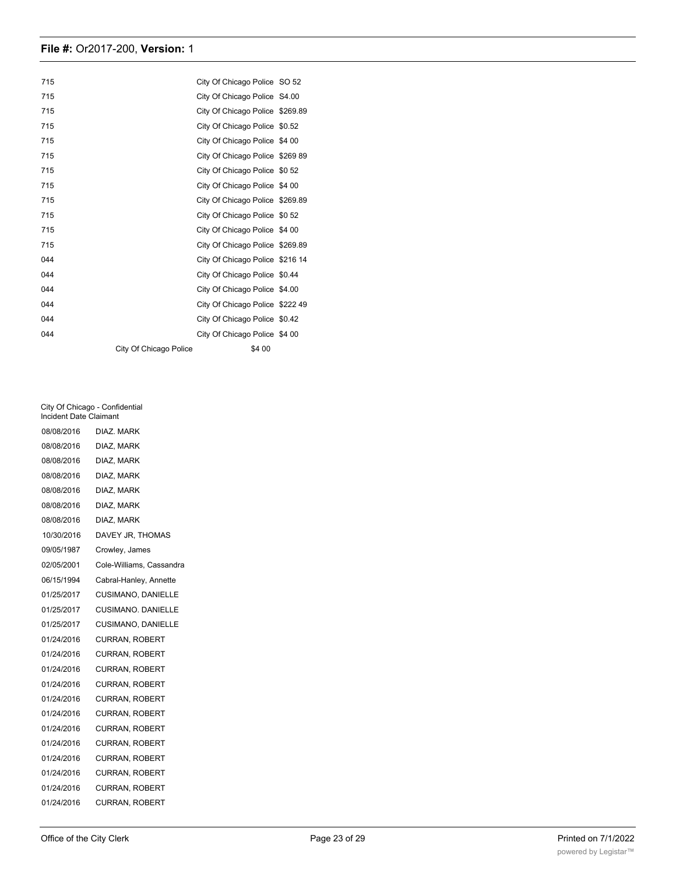| 715 |                        | City Of Chicago Police SO 52    |  |
|-----|------------------------|---------------------------------|--|
| 715 |                        | City Of Chicago Police S4.00    |  |
| 715 |                        | City Of Chicago Police \$269.89 |  |
| 715 |                        | City Of Chicago Police \$0.52   |  |
| 715 |                        | City Of Chicago Police \$4 00   |  |
| 715 |                        | City Of Chicago Police \$269 89 |  |
| 715 |                        | City Of Chicago Police \$0 52   |  |
| 715 |                        | City Of Chicago Police \$4 00   |  |
| 715 |                        | City Of Chicago Police \$269.89 |  |
| 715 |                        | City Of Chicago Police \$0 52   |  |
| 715 |                        | City Of Chicago Police \$4 00   |  |
| 715 |                        | City Of Chicago Police \$269.89 |  |
| 044 |                        | City Of Chicago Police \$216 14 |  |
| 044 |                        | City Of Chicago Police \$0.44   |  |
| 044 |                        | City Of Chicago Police \$4.00   |  |
| 044 |                        | City Of Chicago Police \$222 49 |  |
| 044 |                        | City Of Chicago Police \$0.42   |  |
| 044 |                        | City Of Chicago Police \$4 00   |  |
|     | City Of Chicago Police | \$4 00                          |  |

City Of Chicago - Confidential Incident Date Claimant

| 08/08/2016 | DIAZ. MARK               |
|------------|--------------------------|
| 08/08/2016 | DIAZ, MARK               |
| 08/08/2016 | DIAZ. MARK               |
| 08/08/2016 | DIAZ, MARK               |
| 08/08/2016 | DIAZ, MARK               |
| 08/08/2016 | DIAZ, MARK               |
| 08/08/2016 | DIAZ, MARK               |
| 10/30/2016 | DAVEY JR, THOMAS         |
| 09/05/1987 | Crowley, James           |
| 02/05/2001 | Cole-Williams, Cassandra |
| 06/15/1994 | Cabral-Hanley, Annette   |
| 01/25/2017 | CUSIMANO, DANIELLE       |
| 01/25/2017 | CUSIMANO, DANIELLE       |
| 01/25/2017 | CUSIMANO, DANIELLE       |
| 01/24/2016 | <b>CURRAN, ROBERT</b>    |
| 01/24/2016 | <b>CURRAN, ROBERT</b>    |
| 01/24/2016 | <b>CURRAN, ROBERT</b>    |
| 01/24/2016 | <b>CURRAN, ROBERT</b>    |
| 01/24/2016 | <b>CURRAN, ROBERT</b>    |
| 01/24/2016 | <b>CURRAN, ROBERT</b>    |
| 01/24/2016 | <b>CURRAN, ROBERT</b>    |
| 01/24/2016 | <b>CURRAN, ROBERT</b>    |
| 01/24/2016 | <b>CURRAN, ROBERT</b>    |
| 01/24/2016 | <b>CURRAN, ROBERT</b>    |
| 01/24/2016 | <b>CURRAN, ROBERT</b>    |
| 01/24/2016 | <b>CURRAN, ROBERT</b>    |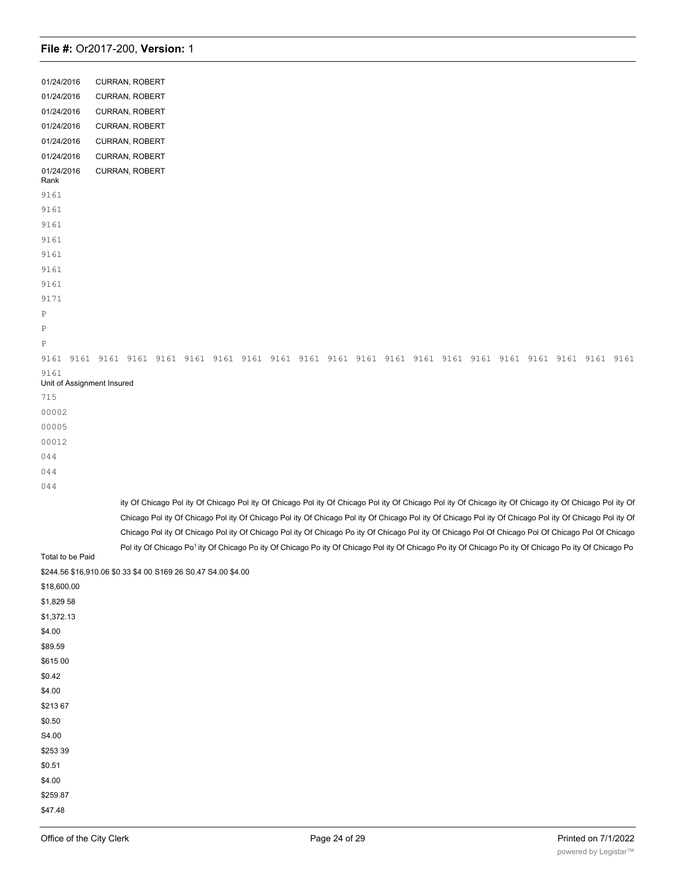| 01/24/2016                         | CURRAN, ROBERT                                                                                                                                                                                                                                                                                                                       |
|------------------------------------|--------------------------------------------------------------------------------------------------------------------------------------------------------------------------------------------------------------------------------------------------------------------------------------------------------------------------------------|
| 01/24/2016                         | <b>CURRAN, ROBERT</b>                                                                                                                                                                                                                                                                                                                |
| 01/24/2016                         | CURRAN, ROBERT                                                                                                                                                                                                                                                                                                                       |
| 01/24/2016                         | CURRAN, ROBERT                                                                                                                                                                                                                                                                                                                       |
| 01/24/2016                         | CURRAN, ROBERT                                                                                                                                                                                                                                                                                                                       |
| 01/24/2016                         | CURRAN, ROBERT                                                                                                                                                                                                                                                                                                                       |
| 01/24/2016<br>Rank                 | CURRAN, ROBERT                                                                                                                                                                                                                                                                                                                       |
| 9161                               |                                                                                                                                                                                                                                                                                                                                      |
| 9161                               |                                                                                                                                                                                                                                                                                                                                      |
| 9161                               |                                                                                                                                                                                                                                                                                                                                      |
| 9161                               |                                                                                                                                                                                                                                                                                                                                      |
| 9161                               |                                                                                                                                                                                                                                                                                                                                      |
| 9161                               |                                                                                                                                                                                                                                                                                                                                      |
| 9161                               |                                                                                                                                                                                                                                                                                                                                      |
| 9171                               |                                                                                                                                                                                                                                                                                                                                      |
| Ρ                                  |                                                                                                                                                                                                                                                                                                                                      |
| Ρ                                  |                                                                                                                                                                                                                                                                                                                                      |
| Ρ                                  |                                                                                                                                                                                                                                                                                                                                      |
| 9161                               |                                                                                                                                                                                                                                                                                                                                      |
| 9161<br>Unit of Assignment Insured |                                                                                                                                                                                                                                                                                                                                      |
| 715                                |                                                                                                                                                                                                                                                                                                                                      |
| 00002                              |                                                                                                                                                                                                                                                                                                                                      |
| 00005                              |                                                                                                                                                                                                                                                                                                                                      |
| 00012                              |                                                                                                                                                                                                                                                                                                                                      |
| 044                                |                                                                                                                                                                                                                                                                                                                                      |
| 044                                |                                                                                                                                                                                                                                                                                                                                      |
|                                    |                                                                                                                                                                                                                                                                                                                                      |
| 044                                |                                                                                                                                                                                                                                                                                                                                      |
|                                    | ity Of Chicago Pol ity Of Chicago Pol ity Of Chicago Pol ity Of Chicago Pol ity Of Chicago Pol ity Of Chicago ity Of Chicago ity Of Chicago Pol ity Of<br>Chicago Pol ity Of Chicago Pol ity Of Chicago Pol ity Of Chicago Pol ity Of Chicago Pol ity Of Chicago Pol ity Of Chicago Pol ity Of Chicago Pol ity Of Chicago Pol ity Of |
|                                    | Chicago Pol ity Of Chicago Pol ity Of Chicago Pol ity Of Chicago Po ity Of Chicago Pol ity Of Chicago Pol Of Chicago Pol Of Chicago Pol Of Chicago Pol Of Chicago                                                                                                                                                                    |
| Total to be Paid                   | Pol ity Of Chicago Po <sup>1</sup> ity Of Chicago Po ity Of Chicago Po ity Of Chicago Pol ity Of Chicago Po ity Of Chicago Po ity Of Chicago Po ity Of Chicago Po ity Of Chicago Po                                                                                                                                                  |
|                                    | \$244.56 \$16,910.06 \$0 33 \$4 00 S169 26 S0.47 S4.00 \$4.00                                                                                                                                                                                                                                                                        |
| \$18,600.00                        |                                                                                                                                                                                                                                                                                                                                      |
| \$1,829 58                         |                                                                                                                                                                                                                                                                                                                                      |
| \$1,372.13                         |                                                                                                                                                                                                                                                                                                                                      |
| \$4.00                             |                                                                                                                                                                                                                                                                                                                                      |
| \$89.59                            |                                                                                                                                                                                                                                                                                                                                      |
| \$615 00                           |                                                                                                                                                                                                                                                                                                                                      |
|                                    |                                                                                                                                                                                                                                                                                                                                      |
| \$0.42                             |                                                                                                                                                                                                                                                                                                                                      |
| \$4.00                             |                                                                                                                                                                                                                                                                                                                                      |
| \$21367                            |                                                                                                                                                                                                                                                                                                                                      |
| \$0.50                             |                                                                                                                                                                                                                                                                                                                                      |
| S4.00                              |                                                                                                                                                                                                                                                                                                                                      |
| \$253 39                           |                                                                                                                                                                                                                                                                                                                                      |
| \$0.51                             |                                                                                                                                                                                                                                                                                                                                      |
| \$4.00                             |                                                                                                                                                                                                                                                                                                                                      |
| \$259.87                           |                                                                                                                                                                                                                                                                                                                                      |
| \$47.48                            |                                                                                                                                                                                                                                                                                                                                      |

 $\overline{4}$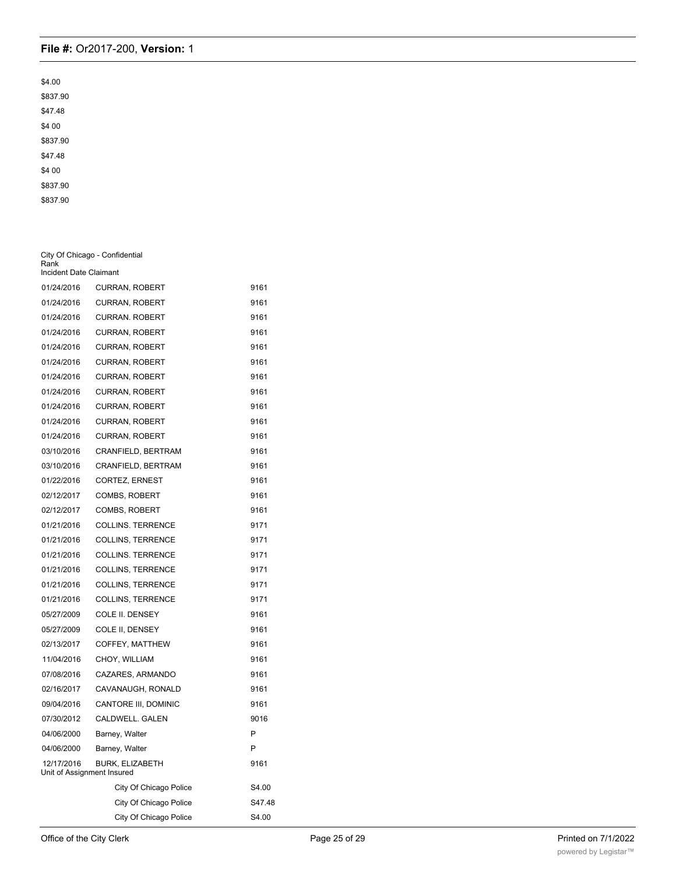| \$4.00   |
|----------|
| \$837.90 |
| \$47.48  |
| \$4 00   |
| \$837.90 |
| \$47.48  |
| \$4 00   |
| \$837.90 |
| \$837.90 |

| Rank                                     | City Of Chicago - Confidential |        |
|------------------------------------------|--------------------------------|--------|
| Incident Date Claimant                   |                                |        |
| 01/24/2016                               | <b>CURRAN, ROBERT</b>          | 9161   |
| 01/24/2016                               | <b>CURRAN, ROBERT</b>          | 9161   |
| 01/24/2016                               | <b>CURRAN. ROBERT</b>          | 9161   |
| 01/24/2016                               | <b>CURRAN, ROBERT</b>          | 9161   |
| 01/24/2016                               | <b>CURRAN, ROBERT</b>          | 9161   |
| 01/24/2016                               | <b>CURRAN, ROBERT</b>          | 9161   |
| 01/24/2016                               | <b>CURRAN, ROBERT</b>          | 9161   |
| 01/24/2016                               | <b>CURRAN, ROBERT</b>          | 9161   |
| 01/24/2016                               | <b>CURRAN, ROBERT</b>          | 9161   |
| 01/24/2016                               | <b>CURRAN, ROBERT</b>          | 9161   |
| 01/24/2016                               | <b>CURRAN, ROBERT</b>          | 9161   |
| 03/10/2016                               | CRANFIELD, BERTRAM             | 9161   |
| 03/10/2016                               | CRANFIELD, BERTRAM             | 9161   |
| 01/22/2016                               | CORTEZ, ERNEST                 | 9161   |
| 02/12/2017                               | <b>COMBS, ROBERT</b>           | 9161   |
| 02/12/2017                               | <b>COMBS, ROBERT</b>           | 9161   |
| 01/21/2016                               | COLLINS. TERRENCE              | 9171   |
| 01/21/2016                               | COLLINS, TERRENCE              | 9171   |
| 01/21/2016                               | <b>COLLINS. TERRENCE</b>       | 9171   |
| 01/21/2016                               | <b>COLLINS, TERRENCE</b>       | 9171   |
| 01/21/2016                               | <b>COLLINS, TERRENCE</b>       | 9171   |
| 01/21/2016                               | <b>COLLINS, TERRENCE</b>       | 9171   |
| 05/27/2009                               | COLE II. DENSEY                | 9161   |
| 05/27/2009                               | COLE II, DENSEY                | 9161   |
| 02/13/2017                               | COFFEY, MATTHEW                | 9161   |
| 11/04/2016                               | CHOY, WILLIAM                  | 9161   |
| 07/08/2016                               | CAZARES, ARMANDO               | 9161   |
| 02/16/2017                               | CAVANAUGH, RONALD              | 9161   |
| 09/04/2016                               | CANTORE III, DOMINIC           | 9161   |
| 07/30/2012                               | CALDWELL. GALEN                | 9016   |
| 04/06/2000                               | Barney, Walter                 | P      |
| 04/06/2000                               | Barney, Walter                 | P      |
| 12/17/2016<br>Unit of Assignment Insured | <b>BURK, ELIZABETH</b>         | 9161   |
|                                          | City Of Chicago Police         | S4.00  |
|                                          | City Of Chicago Police         | S47.48 |
|                                          | City Of Chicago Police         | S4.00  |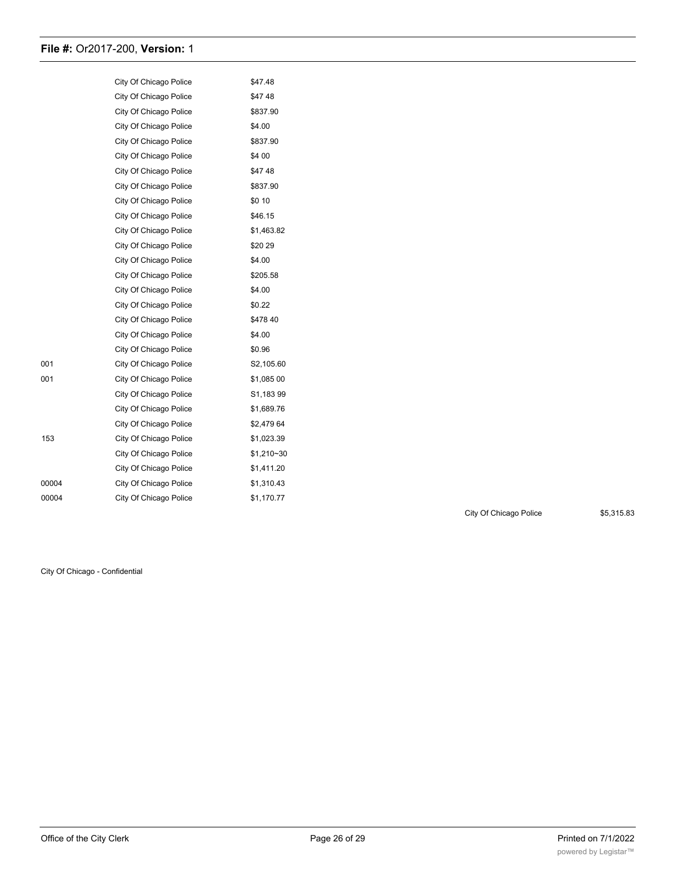|       | City Of Chicago Police | \$47.48    |
|-------|------------------------|------------|
|       | City Of Chicago Police | \$4748     |
|       | City Of Chicago Police | \$837.90   |
|       | City Of Chicago Police | \$4.00     |
|       | City Of Chicago Police | \$837.90   |
|       | City Of Chicago Police | \$4 00     |
|       | City Of Chicago Police | \$4748     |
|       | City Of Chicago Police | \$837.90   |
|       | City Of Chicago Police | \$0 10     |
|       | City Of Chicago Police | \$46.15    |
|       | City Of Chicago Police | \$1,463.82 |
|       | City Of Chicago Police | \$2029     |
|       | City Of Chicago Police | \$4.00     |
|       | City Of Chicago Police | \$205.58   |
|       | City Of Chicago Police | \$4.00     |
|       | City Of Chicago Police | \$0.22     |
|       | City Of Chicago Police | \$47840    |
|       | City Of Chicago Police | \$4.00     |
|       | City Of Chicago Police | \$0.96     |
| 001   | City Of Chicago Police | S2,105.60  |
| 001   | City Of Chicago Police | \$1,085 00 |
|       | City Of Chicago Police | S1,18399   |
|       | City Of Chicago Police | \$1,689.76 |
|       | City Of Chicago Police | \$2,479 64 |
| 153   | City Of Chicago Police | \$1,023.39 |
|       | City Of Chicago Police | \$1,210~30 |
|       | City Of Chicago Police | \$1,411.20 |
| 00004 | City Of Chicago Police | \$1,310.43 |
| 00004 | City Of Chicago Police | \$1,170.77 |

City Of Chicago Police \$5,315.83

City Of Chicago - Confidential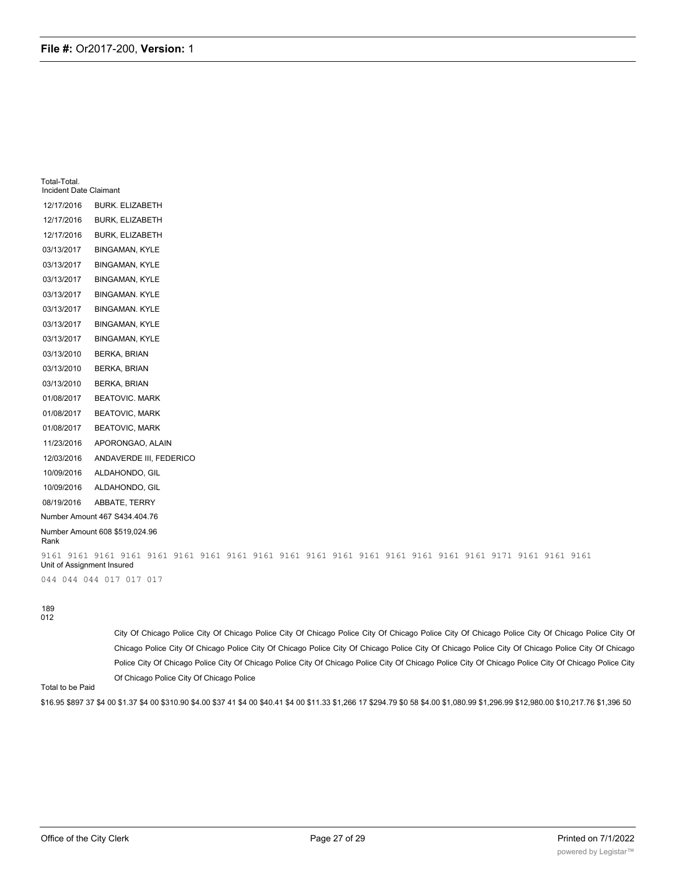| Total-Total.<br>Incident Date Claimant |                                |
|----------------------------------------|--------------------------------|
| 12/17/2016                             | <b>BURK. ELIZABETH</b>         |
| 12/17/2016                             | BURK, ELIZABETH                |
| 12/17/2016                             | <b>BURK, ELIZABETH</b>         |
| 03/13/2017                             | <b>BINGAMAN, KYLE</b>          |
| 03/13/2017                             | <b>BINGAMAN, KYLE</b>          |
| 03/13/2017                             | <b>BINGAMAN, KYLE</b>          |
| 03/13/2017                             | <b>BINGAMAN. KYLE</b>          |
| 03/13/2017                             | <b>BINGAMAN. KYLE</b>          |
| 03/13/2017                             | <b>BINGAMAN, KYLE</b>          |
| 03/13/2017                             | <b>BINGAMAN, KYLE</b>          |
| 03/13/2010                             | <b>BERKA, BRIAN</b>            |
| 03/13/2010                             | <b>BERKA, BRIAN</b>            |
| 03/13/2010                             | <b>BERKA, BRIAN</b>            |
| 01/08/2017                             | <b>BEATOVIC. MARK</b>          |
| 01/08/2017                             | <b>BEATOVIC, MARK</b>          |
| 01/08/2017                             | <b>BEATOVIC, MARK</b>          |
| 11/23/2016                             | APORONGAO, ALAIN               |
| 12/03/2016                             | ANDAVERDE III, FEDERICO        |
| 10/09/2016                             | ALDAHONDO, GIL                 |
| 10/09/2016                             | ALDAHONDO, GIL                 |
| 08/19/2016                             | ABBATE, TERRY                  |
|                                        | Number Amount 467 S434.404.76  |
| Rank                                   | Number Amount 608 \$519,024.96 |
| Unit of Assignment Insured             |                                |
|                                        | 044 044 044 017 017 017        |

189 012

> City Of Chicago Police City Of Chicago Police City Of Chicago Police City Of Chicago Police City Of Chicago Police City Of Chicago Police City Of Chicago Police City Of Chicago Police City Of Chicago Police City Of Chicago Police City Of Chicago Police City Of Chicago Police City Of Chicago Police City Of Chicago Police City Of Chicago Police City Of Chicago Police City Of Chicago Police City Of Chicago Police City Of Chicago Police City Of Chicago Police City Of Chicago Police

Total to be Paid

\$16.95 \$897 37 \$4 00 \$1.37 \$4 00 \$310.90 \$4.00 \$37 41 \$4 00 \$40.41 \$4 00 \$11.33 \$1,266 17 \$294.79 \$0 58 \$4.00 \$1,080.99 \$1,296.99 \$12,980.00 \$10,217.76 \$1,396 50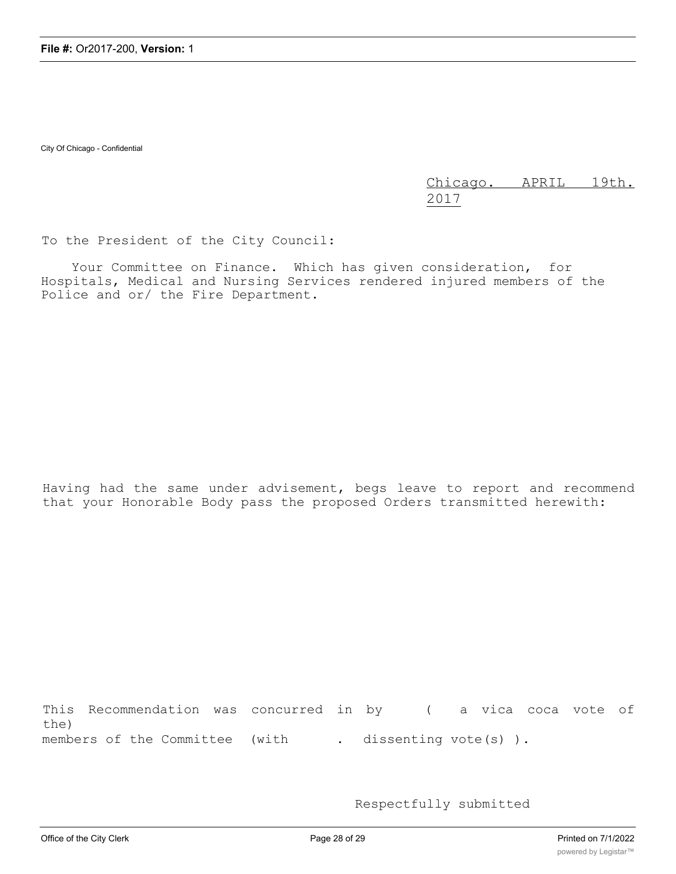City Of Chicago - Confidential

Chicago. APRIL 19th. 2017

To the President of the City Council:

Your Committee on Finance. Which has given consideration, for Hospitals, Medical and Nursing Services rendered injured members of the Police and or/ the Fire Department.

Having had the same under advisement, begs leave to report and recommend that your Honorable Body pass the proposed Orders transmitted herewith:

This Recommendation was concurred in by ( a vica coca vote of the) members of the Committee (with . dissenting vote(s)).

Respectfully submitted